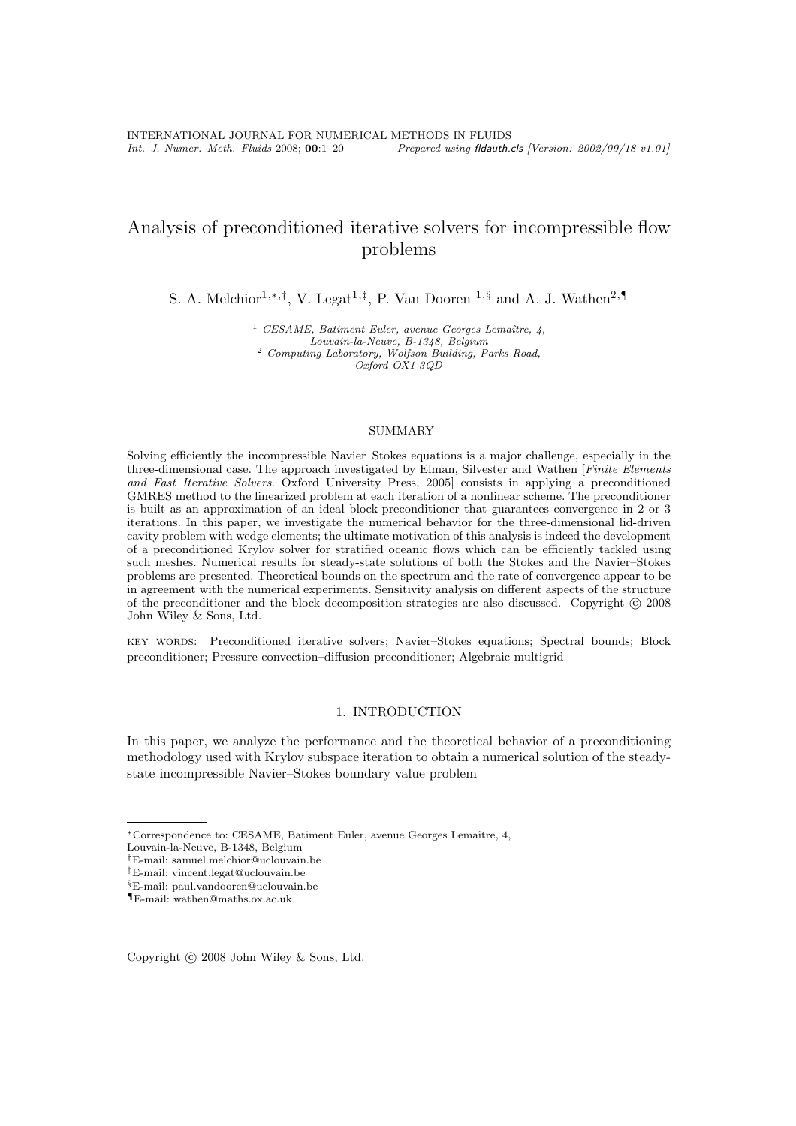# Analysis of preconditioned iterative solvers for incompressible flow problems

S. A. Melchior<sup>1,\*,†</sup>, V. Legat<sup>1,‡</sup>, P. Van Dooren <sup>1,§</sup> and A. J. Wathen<sup>2,¶</sup>

<sup>1</sup> *CESAME, Batiment Euler, avenue Georges Lemaître, 4, Louvain-la-Neuve, B-1348, Belgium* <sup>2</sup> *Computing Laboratory, Wolfson Building, Parks Road, Oxford OX1 3QD*

# SUMMARY

Solving efficiently the incompressible Navier–Stokes equations is a major challenge, especially in the three-dimensional case. The approach investigated by Elman, Silvester and Wathen [Finite Elements and Fast Iterative Solvers. Oxford University Press, 2005] consists in applying a preconditioned GMRES method to the linearized problem at each iteration of a nonlinear scheme. The preconditioner is built as an approximation of an ideal block-preconditioner that guarantees convergence in 2 or 3 iterations. In this paper, we investigate the numerical behavior for the three-dimensional lid-driven cavity problem with wedge elements; the ultimate motivation of this analysis is indeed the development of a preconditioned Krylov solver for stratified oceanic flows which can be efficiently tackled using such meshes. Numerical results for steady-state solutions of both the Stokes and the Navier–Stokes problems are presented. Theoretical bounds on the spectrum and the rate of convergence appear to be in agreement with the numerical experiments. Sensitivity analysis on different aspects of the structure of the preconditioner and the block decomposition strategies are also discussed. Copyright  $\odot$  2008 John Wiley & Sons, Ltd.

key words: Preconditioned iterative solvers; Navier–Stokes equations; Spectral bounds; Block preconditioner; Pressure convection–diffusion preconditioner; Algebraic multigrid

# 1. INTRODUCTION

In this paper, we analyze the performance and the theoretical behavior of a preconditioning methodology used with Krylov subspace iteration to obtain a numerical solution of the steadystate incompressible Navier–Stokes boundary value problem

<sup>∗</sup>Correspondence to: CESAME, Batiment Euler, avenue Georges Lemaˆıtre, 4,

Louvain-la-Neuve, B-1348, Belgium

<sup>†</sup>E-mail: samuel.melchior@uclouvain.be

<sup>‡</sup>E-mail: vincent.legat@uclouvain.be

<sup>§</sup>E-mail: paul.vandooren@uclouvain.be

<sup>¶</sup>E-mail: wathen@maths.ox.ac.uk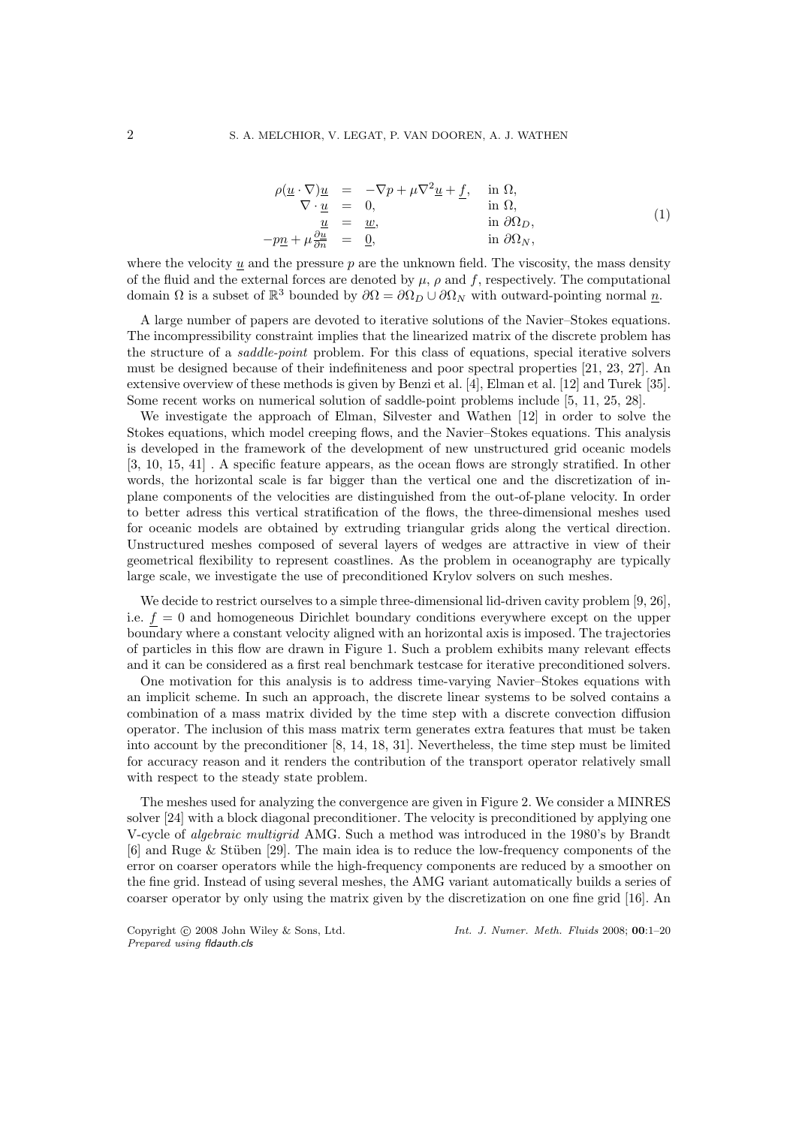$$
\rho(\underline{u} \cdot \nabla)\underline{u} = -\nabla p + \mu \nabla^2 \underline{u} + \underline{f}, \quad \text{in } \Omega, \n\nabla \cdot \underline{u} = 0, \quad \text{in } \Omega, \n\underline{u} = \underline{w}, \quad \text{in } \partial \Omega_D, \n-p\underline{n} + \mu \frac{\partial \underline{u}}{\partial n} = \underline{0}, \quad \text{in } \partial \Omega_N,
$$
\n(1)

where the velocity u and the pressure  $p$  are the unknown field. The viscosity, the mass density of the fluid and the external forces are denoted by  $\mu$ ,  $\rho$  and  $f$ , respectively. The computational domain  $\Omega$  is a subset of  $\mathbb{R}^3$  bounded by  $\partial\Omega = \partial\Omega_D \cup \partial\Omega_N$  with outward-pointing normal  $\underline{n}$ .

A large number of papers are devoted to iterative solutions of the Navier–Stokes equations. The incompressibility constraint implies that the linearized matrix of the discrete problem has the structure of a *saddle-point* problem. For this class of equations, special iterative solvers must be designed because of their indefiniteness and poor spectral properties [21, 23, 27]. An extensive overview of these methods is given by Benzi et al. [4], Elman et al. [12] and Turek [35]. Some recent works on numerical solution of saddle-point problems include [5, 11, 25, 28].

We investigate the approach of Elman, Silvester and Wathen [12] in order to solve the Stokes equations, which model creeping flows, and the Navier–Stokes equations. This analysis is developed in the framework of the development of new unstructured grid oceanic models [3, 10, 15, 41] . A specific feature appears, as the ocean flows are strongly stratified. In other words, the horizontal scale is far bigger than the vertical one and the discretization of inplane components of the velocities are distinguished from the out-of-plane velocity. In order to better adress this vertical stratification of the flows, the three-dimensional meshes used for oceanic models are obtained by extruding triangular grids along the vertical direction. Unstructured meshes composed of several layers of wedges are attractive in view of their geometrical flexibility to represent coastlines. As the problem in oceanography are typically large scale, we investigate the use of preconditioned Krylov solvers on such meshes.

We decide to restrict ourselves to a simple three-dimensional lid-driven cavity problem [9, 26], i.e.  $f = 0$  and homogeneous Dirichlet boundary conditions everywhere except on the upper boundary where a constant velocity aligned with an horizontal axis is imposed. The trajectories of particles in this flow are drawn in Figure 1. Such a problem exhibits many relevant effects and it can be considered as a first real benchmark testcase for iterative preconditioned solvers.

One motivation for this analysis is to address time-varying Navier–Stokes equations with an implicit scheme. In such an approach, the discrete linear systems to be solved contains a combination of a mass matrix divided by the time step with a discrete convection diffusion operator. The inclusion of this mass matrix term generates extra features that must be taken into account by the preconditioner [8, 14, 18, 31]. Nevertheless, the time step must be limited for accuracy reason and it renders the contribution of the transport operator relatively small with respect to the steady state problem.

The meshes used for analyzing the convergence are given in Figure 2. We consider a MINRES solver [24] with a block diagonal preconditioner. The velocity is preconditioned by applying one V-cycle of algebraic multigrid AMG. Such a method was introduced in the 1980's by Brandt  $[6]$  and Ruge & Stüben  $[29]$ . The main idea is to reduce the low-frequency components of the error on coarser operators while the high-frequency components are reduced by a smoother on the fine grid. Instead of using several meshes, the AMG variant automatically builds a series of coarser operator by only using the matrix given by the discretization on one fine grid [16]. An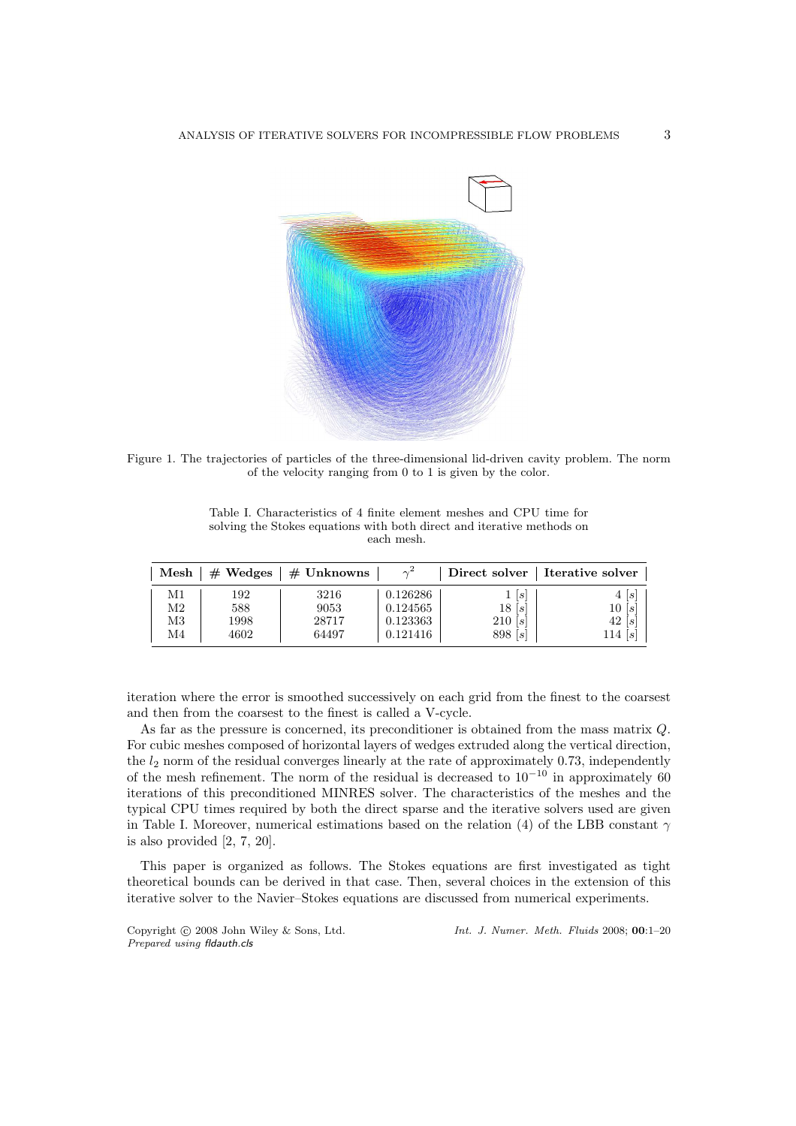

Figure 1. The trajectories of particles of the three-dimensional lid-driven cavity problem. The norm of the velocity ranging from 0 to 1 is given by the color.

| Table I. Characteristics of 4 finite element meshes and CPU time for   |
|------------------------------------------------------------------------|
| solving the Stokes equations with both direct and iterative methods on |
| each mesh.                                                             |

| $\operatorname{Mesh}$ | $#$ Wedges | $\#$ Unknowns | $\gamma^2$ |         | Direct solver   Iterative solver |
|-----------------------|------------|---------------|------------|---------|----------------------------------|
| М1                    | 192        | 3216          | 0.126286   | s       | 4 s                              |
| M2                    | 588        | 9053          | 0.124565   | 18[s]   | 10 s                             |
| M3                    | 1998       | 28717         | 0.123363   | 210[s]  | 42 s                             |
| M4                    | 4602       | 64497         | 0.121416   | 898 [s] | 114 $ s $                        |

iteration where the error is smoothed successively on each grid from the finest to the coarsest and then from the coarsest to the finest is called a V-cycle.

As far as the pressure is concerned, its preconditioner is obtained from the mass matrix Q. For cubic meshes composed of horizontal layers of wedges extruded along the vertical direction, the  $l_2$  norm of the residual converges linearly at the rate of approximately 0.73, independently of the mesh refinement. The norm of the residual is decreased to  $10^{-10}$  in approximately 60 iterations of this preconditioned MINRES solver. The characteristics of the meshes and the typical CPU times required by both the direct sparse and the iterative solvers used are given in Table I. Moreover, numerical estimations based on the relation (4) of the LBB constant  $\gamma$ is also provided [2, 7, 20].

This paper is organized as follows. The Stokes equations are first investigated as tight theoretical bounds can be derived in that case. Then, several choices in the extension of this iterative solver to the Navier–Stokes equations are discussed from numerical experiments.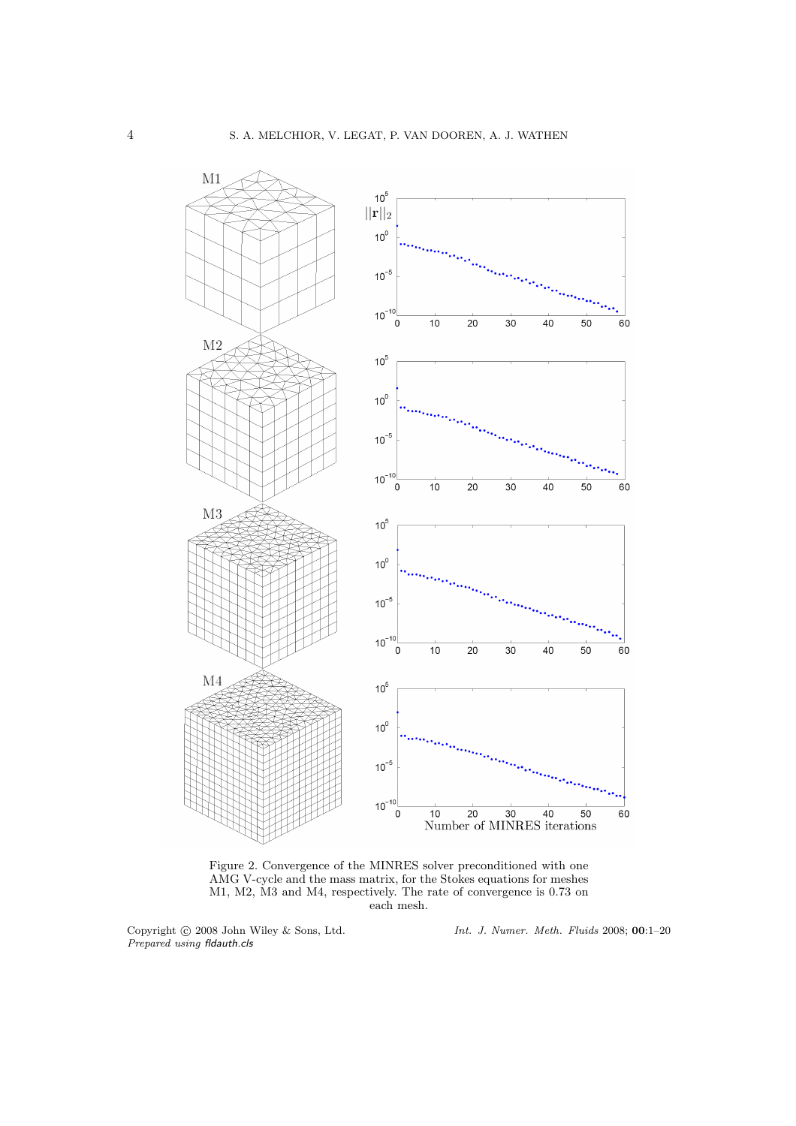

Figure 2. Convergence of the MINRES solver preconditioned with one AMG V-cycle and the mass matrix, for the Stokes equations for meshes M1, M2, M3 and M4, respectively. The rate of convergence is 0.73 on each mesh.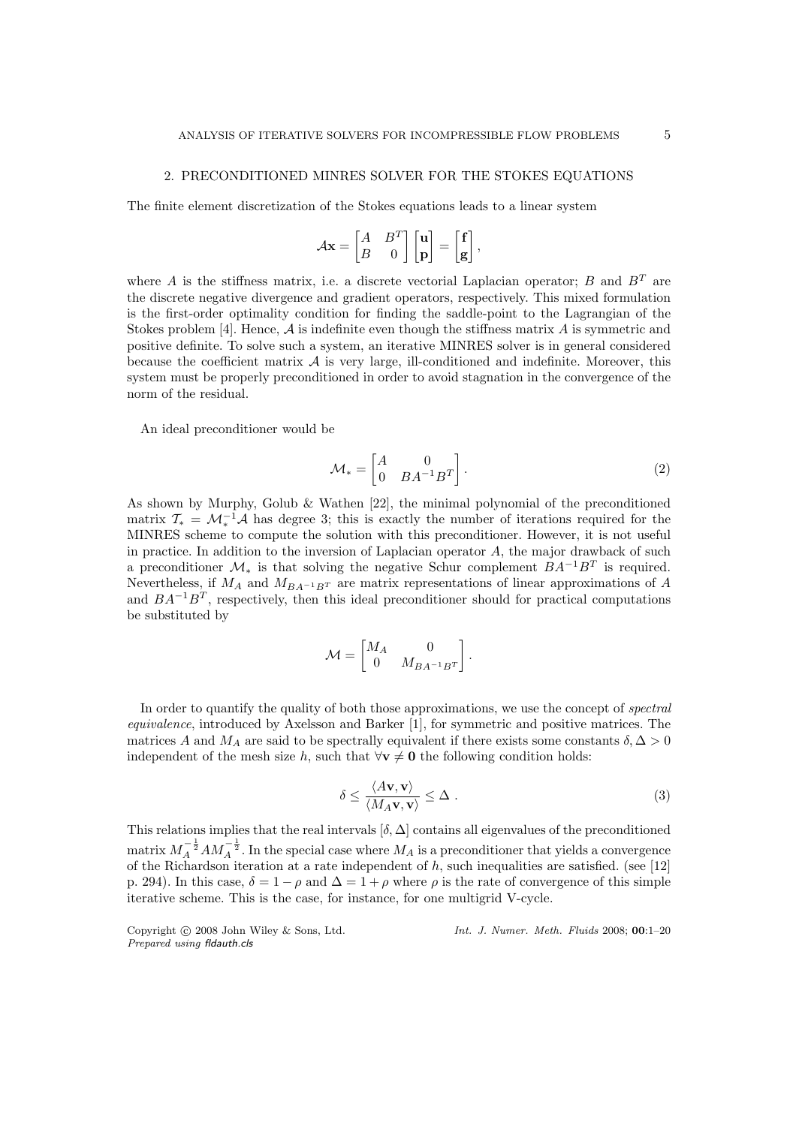## 2. PRECONDITIONED MINRES SOLVER FOR THE STOKES EQUATIONS

The finite element discretization of the Stokes equations leads to a linear system

$$
\mathcal{A}\mathbf{x} = \begin{bmatrix} A & B^T \\ B & 0 \end{bmatrix} \begin{bmatrix} \mathbf{u} \\ \mathbf{p} \end{bmatrix} = \begin{bmatrix} \mathbf{f} \\ \mathbf{g} \end{bmatrix},
$$

where A is the stiffness matrix, i.e. a discrete vectorial Laplacian operator; B and  $B<sup>T</sup>$  are the discrete negative divergence and gradient operators, respectively. This mixed formulation is the first-order optimality condition for finding the saddle-point to the Lagrangian of the Stokes problem [4]. Hence,  $A$  is indefinite even though the stiffness matrix  $A$  is symmetric and positive definite. To solve such a system, an iterative MINRES solver is in general considered because the coefficient matrix  $A$  is very large, ill-conditioned and indefinite. Moreover, this system must be properly preconditioned in order to avoid stagnation in the convergence of the norm of the residual.

An ideal preconditioner would be

$$
\mathcal{M}_* = \begin{bmatrix} A & 0 \\ 0 & BA^{-1}B^T \end{bmatrix} . \tag{2}
$$

As shown by Murphy, Golub & Wathen [22], the minimal polynomial of the preconditioned matrix  $\mathcal{T}_{*} = \mathcal{M}_{*}^{-1} \mathcal{A}$  has degree 3; this is exactly the number of iterations required for the MINRES scheme to compute the solution with this preconditioner. However, it is not useful in practice. In addition to the inversion of Laplacian operator  $A$ , the major drawback of such a preconditioner  $\mathcal{M}_*$  is that solving the negative Schur complement  $BA^{-1}B^T$  is required. Nevertheless, if  $M_A$  and  $M_{BA^{-1}B^{T}}$  are matrix representations of linear approximations of A and  $BA^{-1}B^{T}$ , respectively, then this ideal preconditioner should for practical computations be substituted by

$$
\mathcal{M} = \begin{bmatrix} M_A & 0 \\ 0 & M_{BA^{-1}B^T} \end{bmatrix}.
$$

In order to quantify the quality of both those approximations, we use the concept of *spectral* equivalence, introduced by Axelsson and Barker [1], for symmetric and positive matrices. The matrices A and  $M_A$  are said to be spectrally equivalent if there exists some constants  $\delta, \Delta > 0$ independent of the mesh size h, such that  $\forall v \neq 0$  the following condition holds:

$$
\delta \le \frac{\langle A\mathbf{v}, \mathbf{v} \rangle}{\langle M_A \mathbf{v}, \mathbf{v} \rangle} \le \Delta \ . \tag{3}
$$

This relations implies that the real intervals  $[\delta, \Delta]$  contains all eigenvalues of the preconditioned matrix  $M_A^{-\frac{1}{2}}AM_A^{-\frac{1}{2}}$ . In the special case where  $M_A$  is a preconditioner that yields a convergence of the Richardson iteration at a rate independent of h, such inequalities are satisfied. (see [12] p. 294). In this case,  $\delta = 1 - \rho$  and  $\Delta = 1 + \rho$  where  $\rho$  is the rate of convergence of this simple iterative scheme. This is the case, for instance, for one multigrid V-cycle.

*Prepared using* fldauth.cls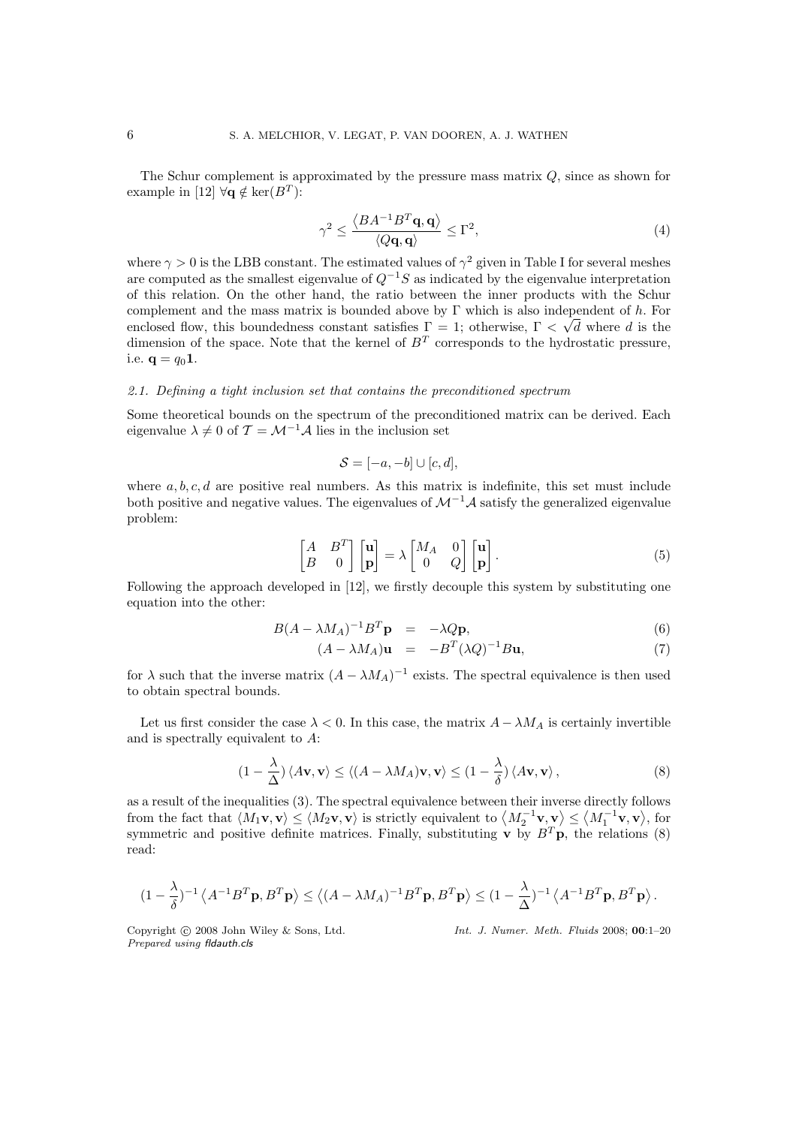The Schur complement is approximated by the pressure mass matrix Q, since as shown for example in [12]  $\forall \mathbf{q} \notin \text{ker}(B^T)$ :

$$
\gamma^2 \le \frac{\langle BA^{-1}B^T \mathbf{q}, \mathbf{q} \rangle}{\langle Q\mathbf{q}, \mathbf{q} \rangle} \le \Gamma^2,\tag{4}
$$

where  $\gamma > 0$  is the LBB constant. The estimated values of  $\gamma^2$  given in Table I for several meshes are computed as the smallest eigenvalue of  $Q^{-1}S$  as indicated by the eigenvalue interpretation of this relation. On the other hand, the ratio between the inner products with the Schur complement and the mass matrix is bounded above by  $\Gamma$  which is also independent of h. For enclosed flow, this boundedness constant satisfies  $\Gamma = 1$ ; otherwise,  $\Gamma < \sqrt{d}$  where d is the dimension of the space. Note that the kernel of  $B<sup>T</sup>$  corresponds to the hydrostatic pressure, i.e.  $q = q_0 1$ .

# 2.1. Defining a tight inclusion set that contains the preconditioned spectrum

Some theoretical bounds on the spectrum of the preconditioned matrix can be derived. Each eigenvalue  $\lambda \neq 0$  of  $\mathcal{T} = \mathcal{M}^{-1} \mathcal{A}$  lies in the inclusion set

$$
S = [-a, -b] \cup [c, d],
$$

where  $a, b, c, d$  are positive real numbers. As this matrix is indefinite, this set must include both positive and negative values. The eigenvalues of  $\mathcal{M}^{-1}\mathcal{A}$  satisfy the generalized eigenvalue problem:

$$
\begin{bmatrix} A & B^T \\ B & 0 \end{bmatrix} \begin{bmatrix} \mathbf{u} \\ \mathbf{p} \end{bmatrix} = \lambda \begin{bmatrix} M_A & 0 \\ 0 & Q \end{bmatrix} \begin{bmatrix} \mathbf{u} \\ \mathbf{p} \end{bmatrix}.
$$
 (5)

Following the approach developed in [12], we firstly decouple this system by substituting one equation into the other:

$$
B(A - \lambda M_A)^{-1}B^T \mathbf{p} = -\lambda Q \mathbf{p}, \qquad (6)
$$

$$
(A - \lambda M_A)\mathbf{u} = -B^T(\lambda Q)^{-1}B\mathbf{u}, \tag{7}
$$

for  $\lambda$  such that the inverse matrix  $(A - \lambda M_A)^{-1}$  exists. The spectral equivalence is then used to obtain spectral bounds.

Let us first consider the case  $\lambda < 0$ . In this case, the matrix  $A - \lambda M_A$  is certainly invertible and is spectrally equivalent to A:

$$
(1 - \frac{\lambda}{\Delta}) \langle A\mathbf{v}, \mathbf{v} \rangle \le \langle (A - \lambda M_A)\mathbf{v}, \mathbf{v} \rangle \le (1 - \frac{\lambda}{\delta}) \langle A\mathbf{v}, \mathbf{v} \rangle, \tag{8}
$$

as a result of the inequalities (3). The spectral equivalence between their inverse directly follows from the fact that  $\langle M_1 \mathbf{v}, \mathbf{v} \rangle \le \langle M_2 \mathbf{v}, \mathbf{v} \rangle$  is strictly equivalent to  $\langle M_2^{-1} \mathbf{v}, \mathbf{v} \rangle \le \langle M_1^{-1} \mathbf{v}, \mathbf{v} \rangle$ , for symmetric and positive definite matrices. Finally, substituting **v** by  $B^T$ **p**, the relations (8) read:

$$
(1 - \frac{\lambda}{\delta})^{-1} \left\langle A^{-1} B^T \mathbf{p}, B^T \mathbf{p} \right\rangle \le \left\langle (A - \lambda M_A)^{-1} B^T \mathbf{p}, B^T \mathbf{p} \right\rangle \le (1 - \frac{\lambda}{\Delta})^{-1} \left\langle A^{-1} B^T \mathbf{p}, B^T \mathbf{p} \right\rangle.
$$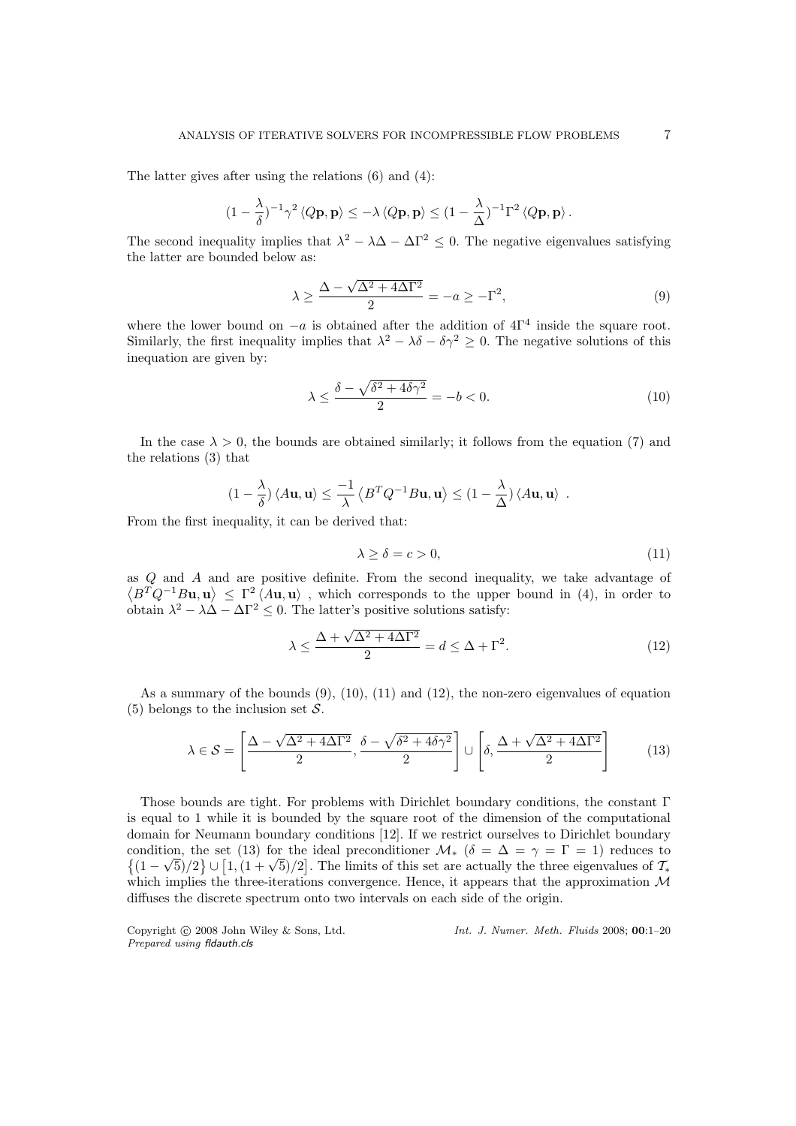The latter gives after using the relations (6) and (4):

$$
(1 - \frac{\lambda}{\delta})^{-1} \gamma^2 \langle Q\mathbf{p}, \mathbf{p} \rangle \le -\lambda \langle Q\mathbf{p}, \mathbf{p} \rangle \le (1 - \frac{\lambda}{\Delta})^{-1} \Gamma^2 \langle Q\mathbf{p}, \mathbf{p} \rangle.
$$

The second inequality implies that  $\lambda^2 - \lambda \Delta - \Delta \Gamma^2 \leq 0$ . The negative eigenvalues satisfying the latter are bounded below as:

$$
\lambda \ge \frac{\Delta - \sqrt{\Delta^2 + 4\Delta\Gamma^2}}{2} = -a \ge -\Gamma^2,\tag{9}
$$

where the lower bound on  $-a$  is obtained after the addition of  $4\Gamma^4$  inside the square root. Similarly, the first inequality implies that  $\lambda^2 - \lambda \delta - \delta \gamma^2 \geq 0$ . The negative solutions of this inequation are given by:

$$
\lambda \le \frac{\delta - \sqrt{\delta^2 + 4\delta\gamma^2}}{2} = -b < 0. \tag{10}
$$

In the case  $\lambda > 0$ , the bounds are obtained similarly; it follows from the equation (7) and the relations (3) that

$$
(1 - \frac{\lambda}{\delta}) \langle A\mathbf{u}, \mathbf{u} \rangle \le \frac{-1}{\lambda} \langle B^T Q^{-1} B\mathbf{u}, \mathbf{u} \rangle \le (1 - \frac{\lambda}{\Delta}) \langle A\mathbf{u}, \mathbf{u} \rangle.
$$

From the first inequality, it can be derived that:

$$
\lambda \ge \delta = c > 0,\tag{11}
$$

as Q and A and are positive definite. From the second inequality, we take advantage of  $\langle B^T Q^{-1}Bu, u \rangle \leq \Gamma^2 \langle Au, u \rangle$ , which corresponds to the upper bound in (4), in order to obtain  $\lambda^2 - \lambda \Delta - \Delta \Gamma^2 \leq 0$ . The latter's positive solutions satisfy:

$$
\lambda \le \frac{\Delta + \sqrt{\Delta^2 + 4\Delta\Gamma^2}}{2} = d \le \Delta + \Gamma^2. \tag{12}
$$

As a summary of the bounds  $(9)$ ,  $(10)$ ,  $(11)$  and  $(12)$ , the non-zero eigenvalues of equation (5) belongs to the inclusion set  $S$ .

$$
\lambda \in \mathcal{S} = \left[ \frac{\Delta - \sqrt{\Delta^2 + 4\Delta\Gamma^2}}{2}, \frac{\delta - \sqrt{\delta^2 + 4\delta\gamma^2}}{2} \right] \cup \left[ \delta, \frac{\Delta + \sqrt{\Delta^2 + 4\Delta\Gamma^2}}{2} \right] \tag{13}
$$

Those bounds are tight. For problems with Dirichlet boundary conditions, the constant Γ is equal to 1 while it is bounded by the square root of the dimension of the computational domain for Neumann boundary conditions [12]. If we restrict ourselves to Dirichlet boundary condition, the set (13) for the ideal preconditioner  $\mathcal{M}_{*}$  ( $\delta = \Delta = \gamma = \Gamma = 1$ ) reduces to  $\{(1 - \sqrt{5})/2\} \cup [1, (1 + \sqrt{5})/2]$ . The limits of this set are actually the three eigenvalues of  $\mathcal{T}_{*}$ which implies the three-iterations convergence. Hence, it appears that the approximation  $\mathcal M$ diffuses the discrete spectrum onto two intervals on each side of the origin.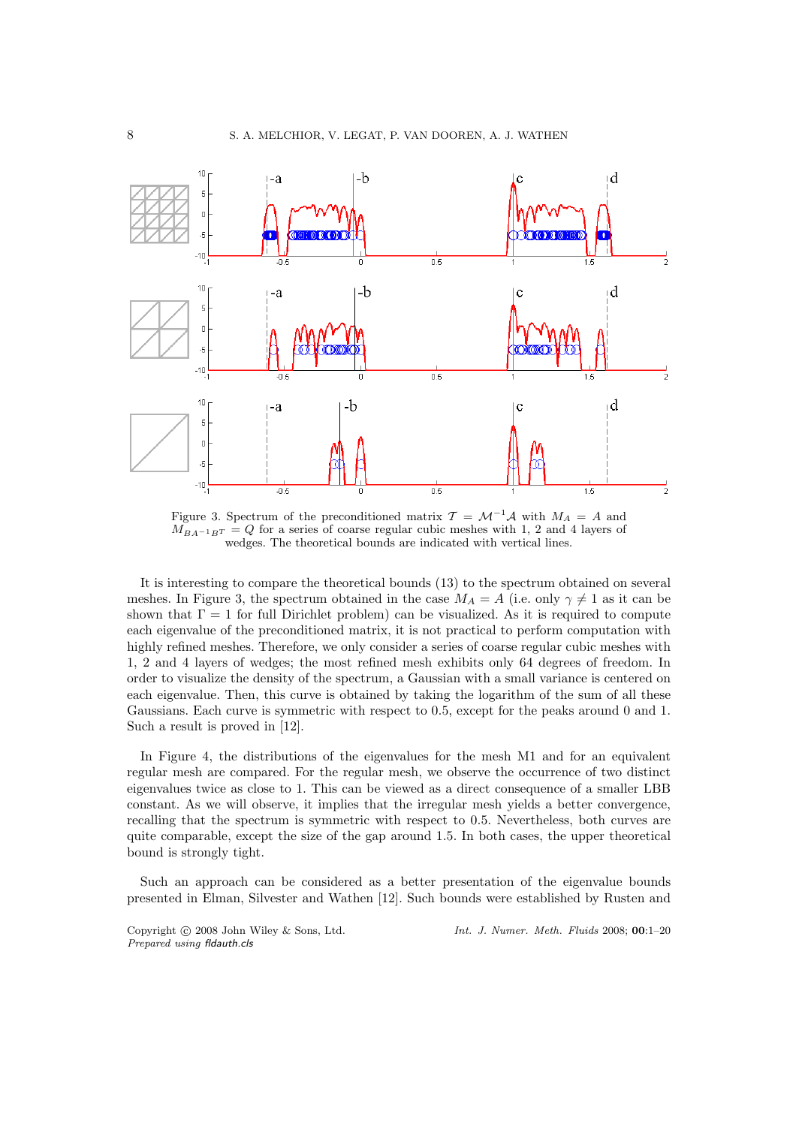

Figure 3. Spectrum of the preconditioned matrix  $\mathcal{T} = \mathcal{M}^{-1} \mathcal{A}$  with  $M_A = A$  and  $M_{BA^{-1}B^{T}} = Q$  for a series of coarse regular cubic meshes with 1, 2 and 4 layers of wedges. The theoretical bounds are indicated with vertical lines.

It is interesting to compare the theoretical bounds (13) to the spectrum obtained on several meshes. In Figure 3, the spectrum obtained in the case  $M_A = A$  (i.e. only  $\gamma \neq 1$  as it can be shown that  $\Gamma = 1$  for full Dirichlet problem) can be visualized. As it is required to compute each eigenvalue of the preconditioned matrix, it is not practical to perform computation with highly refined meshes. Therefore, we only consider a series of coarse regular cubic meshes with 1, 2 and 4 layers of wedges; the most refined mesh exhibits only 64 degrees of freedom. In order to visualize the density of the spectrum, a Gaussian with a small variance is centered on each eigenvalue. Then, this curve is obtained by taking the logarithm of the sum of all these Gaussians. Each curve is symmetric with respect to 0.5, except for the peaks around 0 and 1. Such a result is proved in [12].

In Figure 4, the distributions of the eigenvalues for the mesh M1 and for an equivalent regular mesh are compared. For the regular mesh, we observe the occurrence of two distinct eigenvalues twice as close to 1. This can be viewed as a direct consequence of a smaller LBB constant. As we will observe, it implies that the irregular mesh yields a better convergence, recalling that the spectrum is symmetric with respect to 0.5. Nevertheless, both curves are quite comparable, except the size of the gap around 1.5. In both cases, the upper theoretical bound is strongly tight.

Such an approach can be considered as a better presentation of the eigenvalue bounds presented in Elman, Silvester and Wathen [12]. Such bounds were established by Rusten and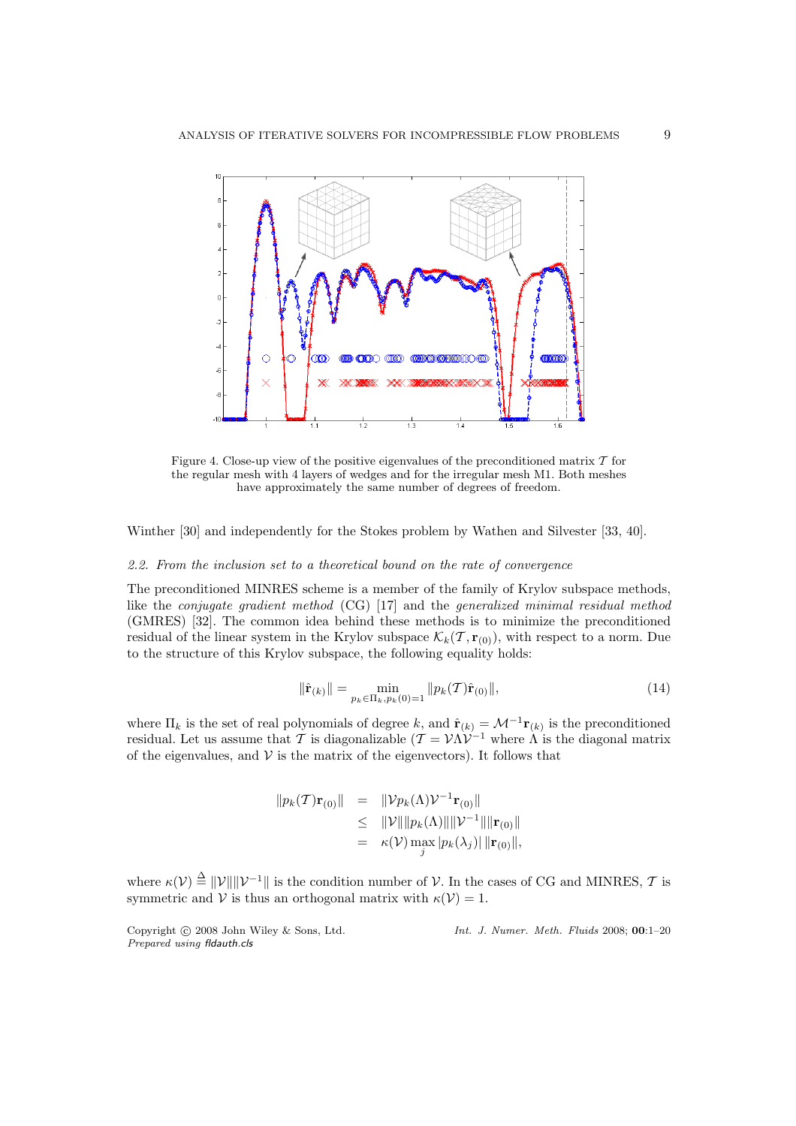

Figure 4. Close-up view of the positive eigenvalues of the preconditioned matrix  $T$  for the regular mesh with 4 layers of wedges and for the irregular mesh M1. Both meshes have approximately the same number of degrees of freedom.

Winther [30] and independently for the Stokes problem by Wathen and Silvester [33, 40].

## 2.2. From the inclusion set to a theoretical bound on the rate of convergence

The preconditioned MINRES scheme is a member of the family of Krylov subspace methods, like the conjugate gradient method (CG) [17] and the generalized minimal residual method (GMRES) [32]. The common idea behind these methods is to minimize the preconditioned residual of the linear system in the Krylov subspace  $\mathcal{K}_k(\mathcal{T}, \mathbf{r}_{(0)})$ , with respect to a norm. Due to the structure of this Krylov subspace, the following equality holds:

$$
\|\hat{\mathbf{r}}_{(k)}\| = \min_{p_k \in \Pi_k, p_k(0) = 1} \|p_k(\mathcal{T})\hat{\mathbf{r}}_{(0)}\|,\tag{14}
$$

where  $\Pi_k$  is the set of real polynomials of degree k, and  $\hat{\mathbf{r}}_{(k)} = \mathcal{M}^{-1} \mathbf{r}_{(k)}$  is the preconditioned residual. Let us assume that T is diagonalizable  $(T = \mathcal{V} \Lambda \mathcal{V}^{-1}$  where  $\Lambda$  is the diagonal matrix of the eigenvalues, and  $V$  is the matrix of the eigenvectors). It follows that

$$
||p_k(T)\mathbf{r}_{(0)}|| = ||\mathcal{V}p_k(\Lambda)\mathcal{V}^{-1}\mathbf{r}_{(0)}||
$$
  
\n
$$
\leq ||\mathcal{V}|| ||p_k(\Lambda)|| ||\mathcal{V}^{-1}|| ||\mathbf{r}_{(0)}||
$$
  
\n
$$
= \kappa(\mathcal{V}) \max_{j} |p_k(\lambda_j)| ||\mathbf{r}_{(0)}||,
$$

where  $\kappa(\mathcal{V}) \triangleq ||\mathcal{V}|| ||\mathcal{V}^{-1}||$  is the condition number of  $\mathcal{V}$ . In the cases of CG and MINRES,  $\mathcal{T}$  is symmetric and V is thus an orthogonal matrix with  $\kappa(\mathcal{V}) = 1$ .

*Prepared using* fldauth.cls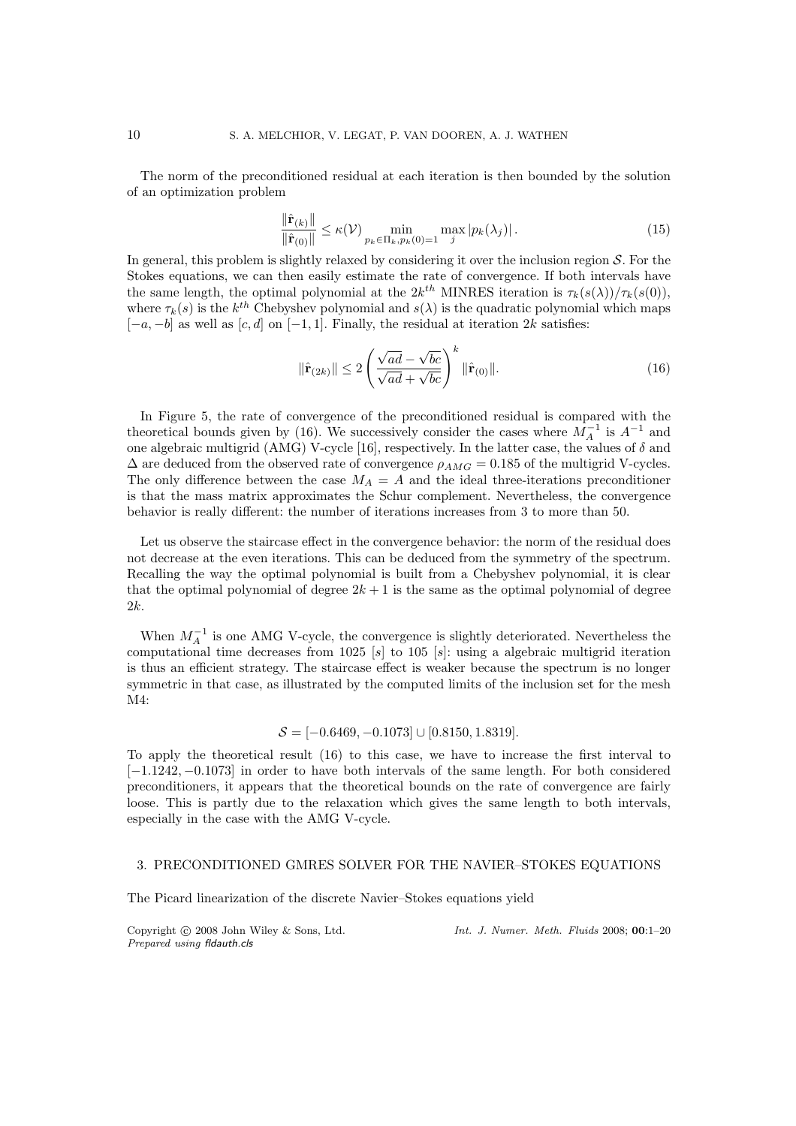The norm of the preconditioned residual at each iteration is then bounded by the solution of an optimization problem

$$
\frac{\|\hat{\mathbf{r}}_{(k)}\|}{\|\hat{\mathbf{r}}_{(0)}\|} \le \kappa(\mathcal{V}) \min_{p_k \in \Pi_k, p_k(0)=1} \max_j |p_k(\lambda_j)|. \tag{15}
$$

In general, this problem is slightly relaxed by considering it over the inclusion region  $S$ . For the Stokes equations, we can then easily estimate the rate of convergence. If both intervals have the same length, the optimal polynomial at the  $2k^{th}$  MINRES iteration is  $\tau_k(s(\lambda))/\tau_k(s(0))$ , where  $\tau_k(s)$  is the  $k^{th}$  Chebyshev polynomial and  $s(\lambda)$  is the quadratic polynomial which maps  $[-a, -b]$  as well as  $[c, d]$  on  $[-1, 1]$ . Finally, the residual at iteration 2k satisfies:

$$
\|\hat{\mathbf{r}}_{(2k)}\| \le 2\left(\frac{\sqrt{ad} - \sqrt{bc}}{\sqrt{ad} + \sqrt{bc}}\right)^k \|\hat{\mathbf{r}}_{(0)}\|.\tag{16}
$$

In Figure 5, the rate of convergence of the preconditioned residual is compared with the theoretical bounds given by (16). We successively consider the cases where  $\dot{M}^{-1}$  is  $A^{-1}$  and one algebraic multigrid (AMG) V-cycle [16], respectively. In the latter case, the values of  $\delta$  and  $\Delta$  are deduced from the observed rate of convergence  $\rho_{AMG} = 0.185$  of the multigrid V-cycles. The only difference between the case  $M_A = A$  and the ideal three-iterations preconditioner is that the mass matrix approximates the Schur complement. Nevertheless, the convergence behavior is really different: the number of iterations increases from 3 to more than 50.

Let us observe the staircase effect in the convergence behavior: the norm of the residual does not decrease at the even iterations. This can be deduced from the symmetry of the spectrum. Recalling the way the optimal polynomial is built from a Chebyshev polynomial, it is clear that the optimal polynomial of degree  $2k + 1$  is the same as the optimal polynomial of degree 2k.

When  $M_A^{-1}$  is one AMG V-cycle, the convergence is slightly deteriorated. Nevertheless the computational time decreases from 1025 [s] to 105 [s]: using a algebraic multigrid iteration is thus an efficient strategy. The staircase effect is weaker because the spectrum is no longer symmetric in that case, as illustrated by the computed limits of the inclusion set for the mesh M4:

$$
S = [-0.6469, -0.1073] \cup [0.8150, 1.8319].
$$

To apply the theoretical result (16) to this case, we have to increase the first interval to [−1.1242, −0.1073] in order to have both intervals of the same length. For both considered preconditioners, it appears that the theoretical bounds on the rate of convergence are fairly loose. This is partly due to the relaxation which gives the same length to both intervals, especially in the case with the AMG V-cycle.

## 3. PRECONDITIONED GMRES SOLVER FOR THE NAVIER–STOKES EQUATIONS

The Picard linearization of the discrete Navier–Stokes equations yield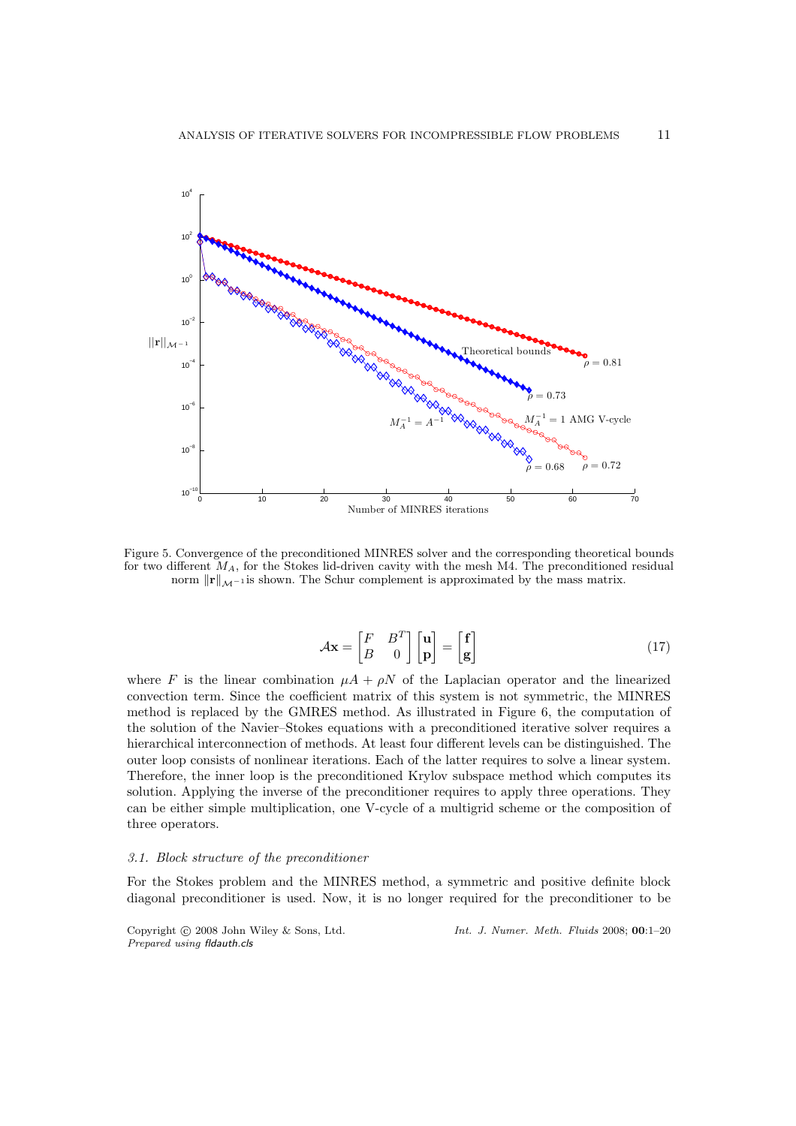

Figure 5. Convergence of the preconditioned MINRES solver and the corresponding theoretical bounds for two different  $M_A$ , for the Stokes lid-driven cavity with the mesh M4. The preconditioned residual norm  $\|\mathbf{r}\|_{\mathcal{M}^{-1}}$  is shown. The Schur complement is approximated by the mass matrix.

$$
\mathcal{A}\mathbf{x} = \begin{bmatrix} F & B^T \\ B & 0 \end{bmatrix} \begin{bmatrix} \mathbf{u} \\ \mathbf{p} \end{bmatrix} = \begin{bmatrix} \mathbf{f} \\ \mathbf{g} \end{bmatrix}
$$
 (17)

where F is the linear combination  $\mu A + \rho N$  of the Laplacian operator and the linearized convection term. Since the coefficient matrix of this system is not symmetric, the MINRES method is replaced by the GMRES method. As illustrated in Figure 6, the computation of the solution of the Navier–Stokes equations with a preconditioned iterative solver requires a hierarchical interconnection of methods. At least four different levels can be distinguished. The outer loop consists of nonlinear iterations. Each of the latter requires to solve a linear system. Therefore, the inner loop is the preconditioned Krylov subspace method which computes its solution. Applying the inverse of the preconditioner requires to apply three operations. They can be either simple multiplication, one V-cycle of a multigrid scheme or the composition of three operators.

## 3.1. Block structure of the preconditioner

For the Stokes problem and the MINRES method, a symmetric and positive definite block diagonal preconditioner is used. Now, it is no longer required for the preconditioner to be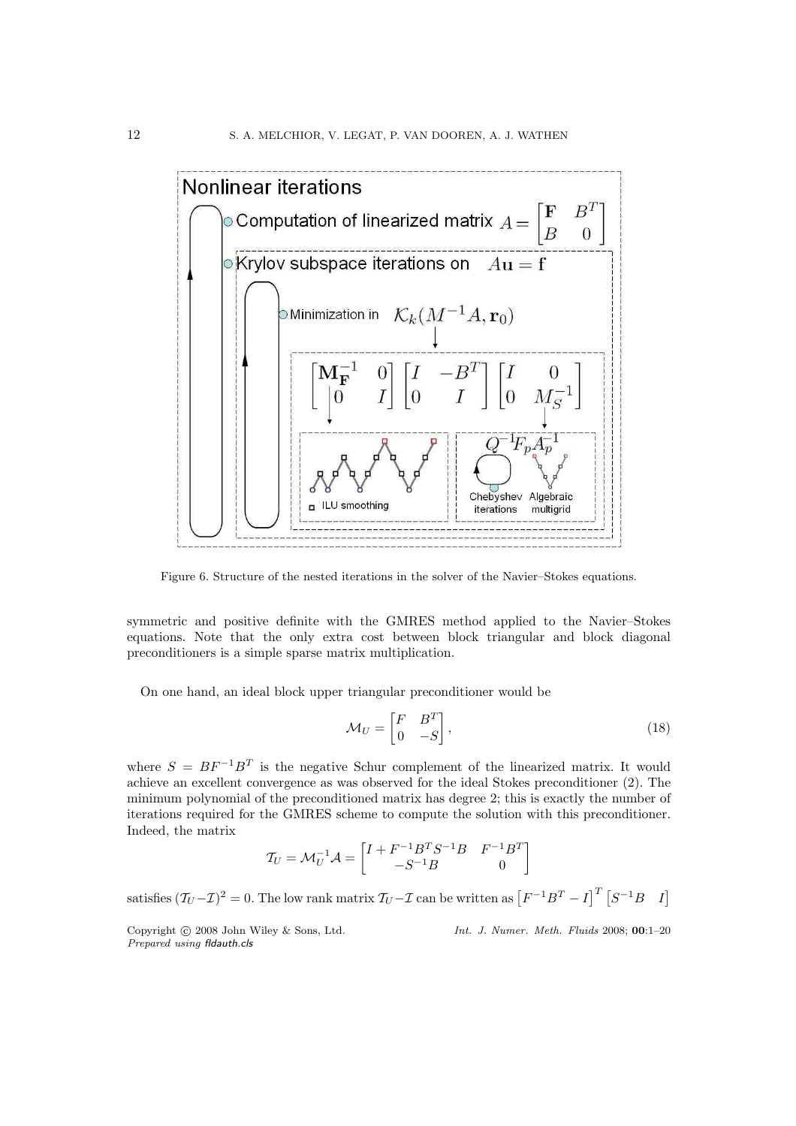

Figure 6. Structure of the nested iterations in the solver of the Navier–Stokes equations.

symmetric and positive definite with the GMRES method applied to the Navier–Stokes equations. Note that the only extra cost between block triangular and block diagonal preconditioners is a simple sparse matrix multiplication.

On one hand, an ideal block upper triangular preconditioner would be

$$
\mathcal{M}_U = \begin{bmatrix} F & B^T \\ 0 & -S \end{bmatrix},\tag{18}
$$

where  $S = BF^{-1}B^{T}$  is the negative Schur complement of the linearized matrix. It would achieve an excellent convergence as was observed for the ideal Stokes preconditioner (2). The minimum polynomial of the preconditioned matrix has degree 2; this is exactly the number of iterations required for the GMRES scheme to compute the solution with this preconditioner. Indeed, the matrix

$$
\mathcal{T}_U = \mathcal{M}_U^{-1} \mathcal{A} = \begin{bmatrix} I + F^{-1}B^TS^{-1}B & F^{-1}B^T \\ -S^{-1}B & 0 \end{bmatrix}
$$

satisfies  $(\mathcal{T}_U - \mathcal{I})^2 = 0$ . The low rank matrix  $\mathcal{T}_U - \mathcal{I}$  can be written as  $[F^{-1}B^T - I]^T [S^{-1}B I]$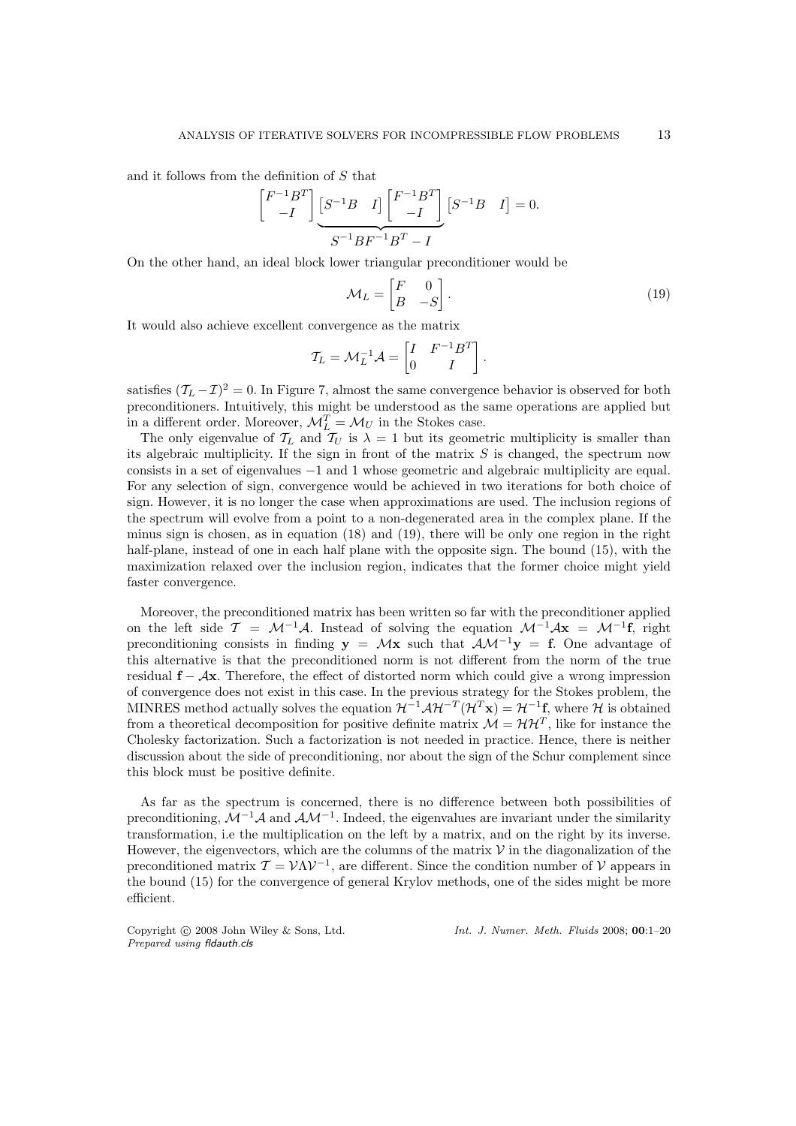and it follows from the definition of  $S$  that

$$
\begin{bmatrix} F^{-1}B^T \ -I \end{bmatrix} \underbrace{\begin{bmatrix} S^{-1}B & I \end{bmatrix} \begin{bmatrix} F^{-1}B^T \ -I \end{bmatrix}}_{S^{-1}BF^{-1}B^T - I} \begin{bmatrix} S^{-1}B & I \end{bmatrix} = 0.
$$

On the other hand, an ideal block lower triangular preconditioner would be

$$
\mathcal{M}_L = \begin{bmatrix} F & 0 \\ B & -S \end{bmatrix} . \tag{19}
$$

It would also achieve excellent convergence as the matrix

$$
\mathcal{T}_L = \mathcal{M}_L^{-1} \mathcal{A} = \begin{bmatrix} I & F^{-1}B^T \\ 0 & I \end{bmatrix}.
$$

satisfies  $(T_L - \mathcal{I})^2 = 0$ . In Figure 7, almost the same convergence behavior is observed for both preconditioners. Intuitively, this might be understood as the same operations are applied but in a different order. Moreover,  $\mathcal{M}_L^T = \mathcal{M}_U$  in the Stokes case.

The only eigenvalue of  $\mathcal{T}_L$  and  $\mathcal{T}_U$  is  $\lambda = 1$  but its geometric multiplicity is smaller than its algebraic multiplicity. If the sign in front of the matrix  $S$  is changed, the spectrum now consists in a set of eigenvalues −1 and 1 whose geometric and algebraic multiplicity are equal. For any selection of sign, convergence would be achieved in two iterations for both choice of sign. However, it is no longer the case when approximations are used. The inclusion regions of the spectrum will evolve from a point to a non-degenerated area in the complex plane. If the minus sign is chosen, as in equation (18) and (19), there will be only one region in the right half-plane, instead of one in each half plane with the opposite sign. The bound (15), with the maximization relaxed over the inclusion region, indicates that the former choice might yield faster convergence.

Moreover, the preconditioned matrix has been written so far with the preconditioner applied on the left side  $\mathcal{T} = \mathcal{M}^{-1}\mathcal{A}$ . Instead of solving the equation  $\mathcal{M}^{-1}\mathcal{A}x = \mathcal{M}^{-1}\mathbf{f}$ , right preconditioning consists in finding  $y = Mx$  such that  $AM^{-1}y = f$ . One advantage of this alternative is that the preconditioned norm is not different from the norm of the true residual  $f - Ax$ . Therefore, the effect of distorted norm which could give a wrong impression of convergence does not exist in this case. In the previous strategy for the Stokes problem, the MINRES method actually solves the equation  $\mathcal{H}^{-1}\mathcal{A}\mathcal{H}^{-T}(\mathcal{H}^T\mathbf{x}) = \mathcal{H}^{-1}\mathbf{f}$ , where  $\mathcal H$  is obtained from a theoretical decomposition for positive definite matrix  $\mathcal{M} = \mathcal{H}\mathcal{H}^T$ , like for instance the Cholesky factorization. Such a factorization is not needed in practice. Hence, there is neither discussion about the side of preconditioning, nor about the sign of the Schur complement since this block must be positive definite.

As far as the spectrum is concerned, there is no difference between both possibilities of preconditioning,  $\mathcal{M}^{-1}\mathcal{A}$  and  $\mathcal{AM}^{-1}$ . Indeed, the eigenvalues are invariant under the similarity transformation, i.e the multiplication on the left by a matrix, and on the right by its inverse. However, the eigenvectors, which are the columns of the matrix  $\mathcal V$  in the diagonalization of the preconditioned matrix  $T = V \Lambda V^{-1}$ , are different. Since the condition number of V appears in the bound (15) for the convergence of general Krylov methods, one of the sides might be more efficient.

*Prepared using* fldauth.cls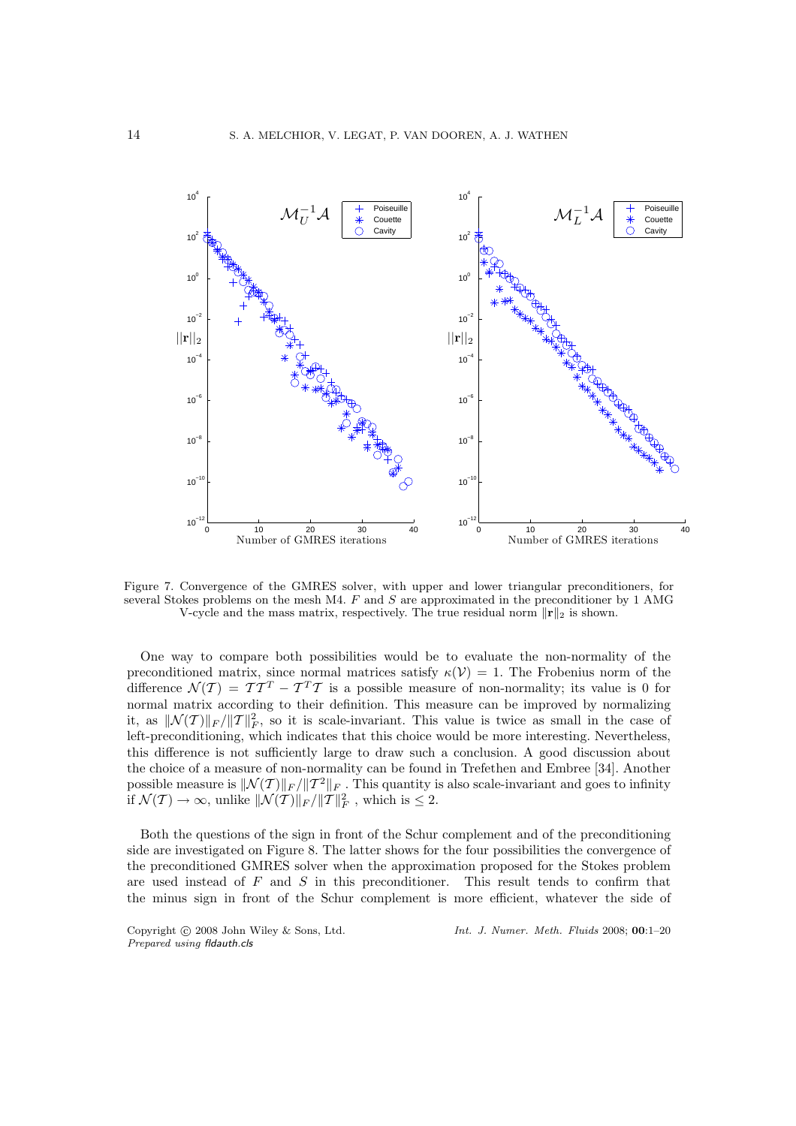

Figure 7. Convergence of the GMRES solver, with upper and lower triangular preconditioners, for several Stokes problems on the mesh M4.  $F$  and  $S$  are approximated in the preconditioner by 1 AMG V-cycle and the mass matrix, respectively. The true residual norm  $\|\mathbf{r}\|_2$  is shown.

One way to compare both possibilities would be to evaluate the non-normality of the preconditioned matrix, since normal matrices satisfy  $\kappa(\mathcal{V}) = 1$ . The Frobenius norm of the difference  $\mathcal{N}(T) = T T^T - T^T T$  is a possible measure of non-normality; its value is 0 for normal matrix according to their definition. This measure can be improved by normalizing it, as  $\|\mathcal{N}(T)\|_F/\|T\|_F^2$ , so it is scale-invariant. This value is twice as small in the case of left-preconditioning, which indicates that this choice would be more interesting. Nevertheless, this difference is not sufficiently large to draw such a conclusion. A good discussion about the choice of a measure of non-normality can be found in Trefethen and Embree [34]. Another possible measure is  $\|\mathcal{N}(T)\|_F / \|T^2\|_F$ . This quantity is also scale-invariant and goes to infinity if  $\mathcal{N}(\mathcal{T}) \to \infty$ , unlike  $\|\mathcal{N}(\mathcal{T})\|_F / \| \mathcal{T}\|_F^2$ , which is  $\leq 2$ .

Both the questions of the sign in front of the Schur complement and of the preconditioning side are investigated on Figure 8. The latter shows for the four possibilities the convergence of the preconditioned GMRES solver when the approximation proposed for the Stokes problem are used instead of  $F$  and  $S$  in this preconditioner. This result tends to confirm that the minus sign in front of the Schur complement is more efficient, whatever the side of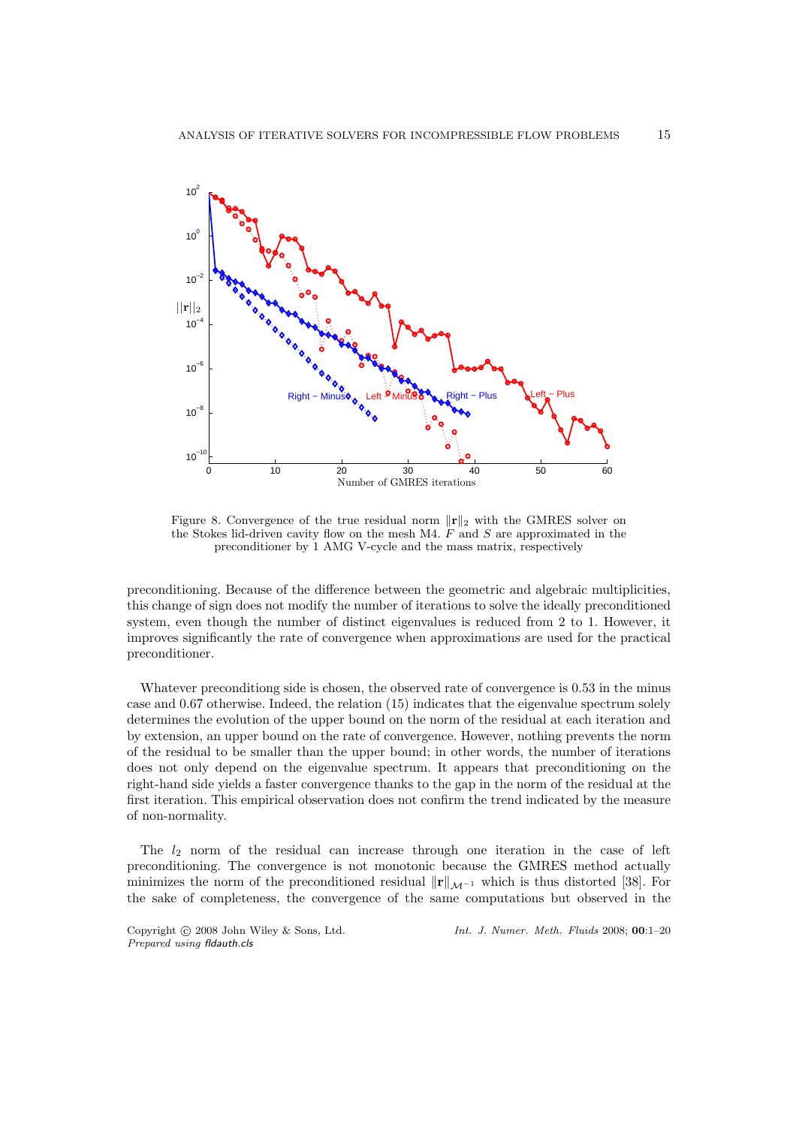

Figure 8. Convergence of the true residual norm  $\|\mathbf{r}\|_2$  with the GMRES solver on the Stokes lid-driven cavity flow on the mesh M4.  $\ddot{F}$  and  $S$  are approximated in the preconditioner by 1 AMG V-cycle and the mass matrix, respectively

preconditioning. Because of the difference between the geometric and algebraic multiplicities, this change of sign does not modify the number of iterations to solve the ideally preconditioned system, even though the number of distinct eigenvalues is reduced from 2 to 1. However, it improves significantly the rate of convergence when approximations are used for the practical preconditioner.

Whatever preconditiong side is chosen, the observed rate of convergence is 0.53 in the minus case and 0.67 otherwise. Indeed, the relation (15) indicates that the eigenvalue spectrum solely determines the evolution of the upper bound on the norm of the residual at each iteration and by extension, an upper bound on the rate of convergence. However, nothing prevents the norm of the residual to be smaller than the upper bound; in other words, the number of iterations does not only depend on the eigenvalue spectrum. It appears that preconditioning on the right-hand side yields a faster convergence thanks to the gap in the norm of the residual at the first iteration. This empirical observation does not confirm the trend indicated by the measure of non-normality.

The  $l_2$  norm of the residual can increase through one iteration in the case of left preconditioning. The convergence is not monotonic because the GMRES method actually minimizes the norm of the preconditioned residual  $\|\mathbf{r}\|_{\mathcal{M}^{-1}}$  which is thus distorted [38]. For the sake of completeness, the convergence of the same computations but observed in the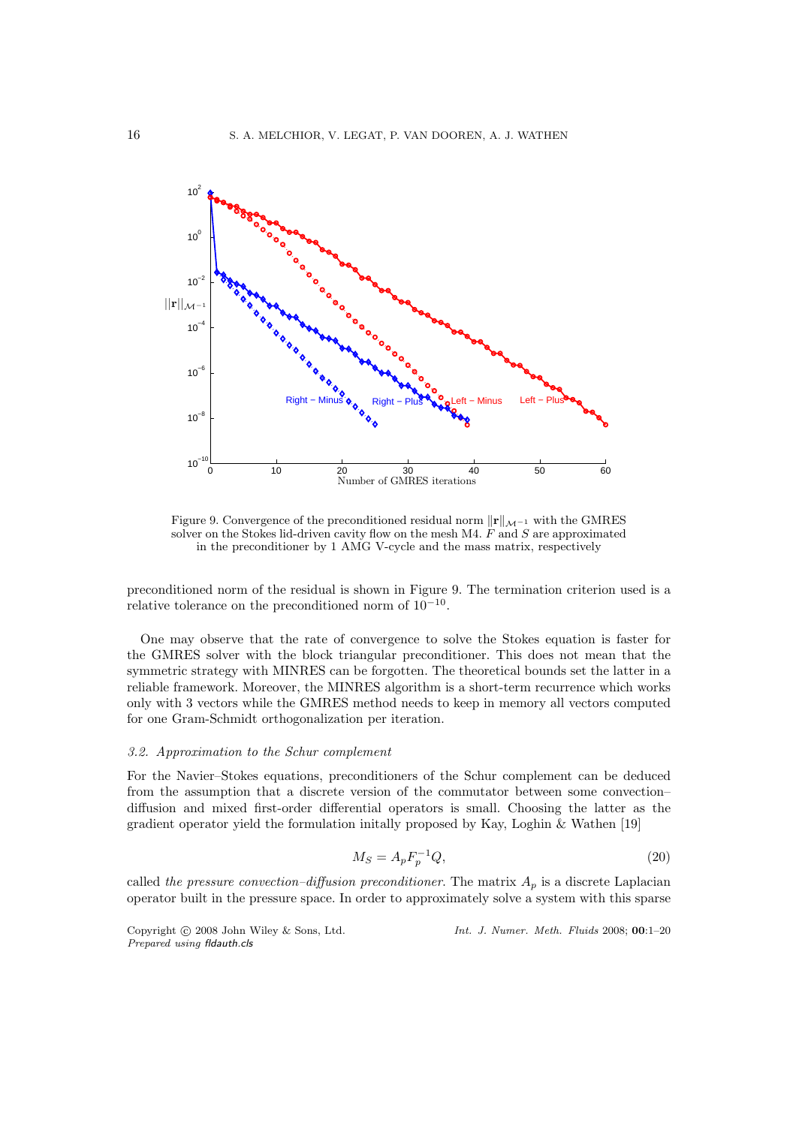

Figure 9. Convergence of the preconditioned residual norm  $\|\mathbf{r}\|_{\mathcal{M}^{-1}}$  with the GMRES solver on the Stokes lid-driven cavity flow on the mesh M4.  $\ddot{F}$  and  $S$  are approximated in the preconditioner by 1 AMG V-cycle and the mass matrix, respectively

preconditioned norm of the residual is shown in Figure 9. The termination criterion used is a relative tolerance on the preconditioned norm of  $10^{-10}$ .

One may observe that the rate of convergence to solve the Stokes equation is faster for the GMRES solver with the block triangular preconditioner. This does not mean that the symmetric strategy with MINRES can be forgotten. The theoretical bounds set the latter in a reliable framework. Moreover, the MINRES algorithm is a short-term recurrence which works only with 3 vectors while the GMRES method needs to keep in memory all vectors computed for one Gram-Schmidt orthogonalization per iteration.

# 3.2. Approximation to the Schur complement

For the Navier–Stokes equations, preconditioners of the Schur complement can be deduced from the assumption that a discrete version of the commutator between some convection– diffusion and mixed first-order differential operators is small. Choosing the latter as the gradient operator yield the formulation initally proposed by Kay, Loghin & Wathen [19]

$$
M_S = A_p F_p^{-1} Q,\t\t(20)
$$

called the pressure convection–diffusion preconditioner. The matrix  $A_p$  is a discrete Laplacian operator built in the pressure space. In order to approximately solve a system with this sparse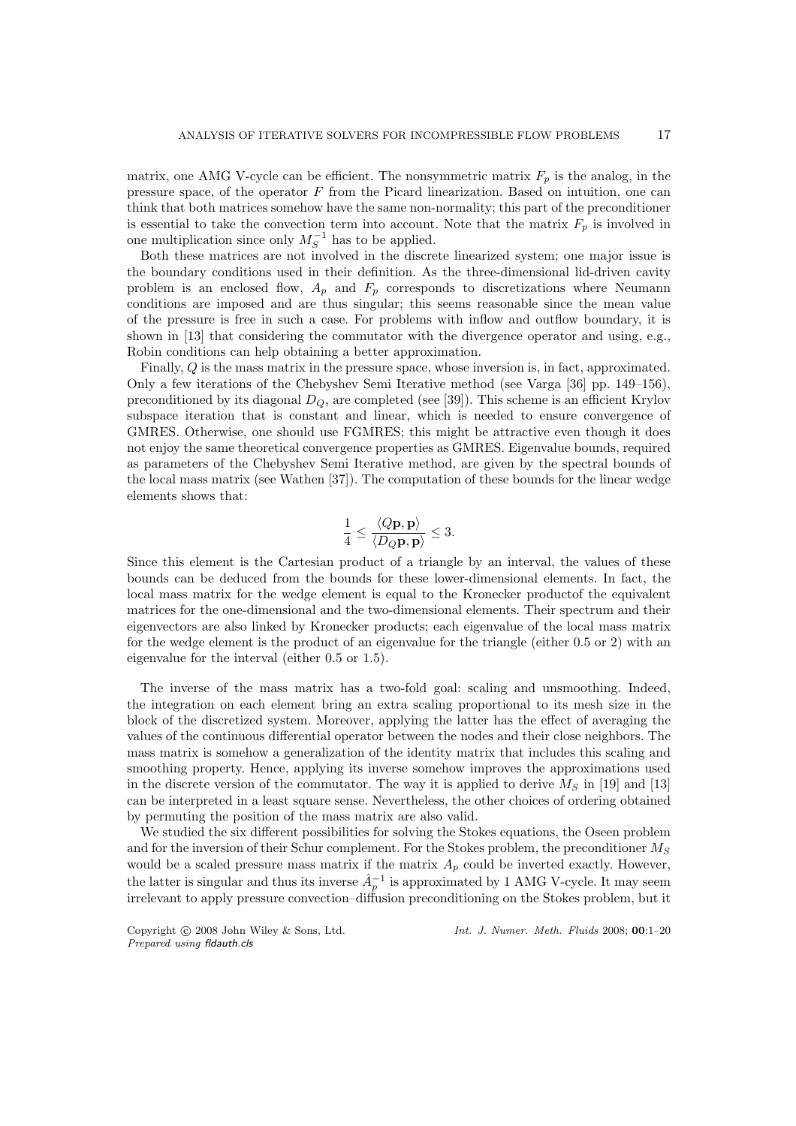matrix, one AMG V-cycle can be efficient. The nonsymmetric matrix  $F_p$  is the analog, in the pressure space, of the operator F from the Picard linearization. Based on intuition, one can think that both matrices somehow have the same non-normality; this part of the preconditioner is essential to take the convection term into account. Note that the matrix  $F_p$  is involved in one multiplication since only  $M_S^{-1}$  has to be applied.

Both these matrices are not involved in the discrete linearized system; one major issue is the boundary conditions used in their definition. As the three-dimensional lid-driven cavity problem is an enclosed flow,  $A_p$  and  $F_p$  corresponds to discretizations where Neumann conditions are imposed and are thus singular; this seems reasonable since the mean value of the pressure is free in such a case. For problems with inflow and outflow boundary, it is shown in [13] that considering the commutator with the divergence operator and using, e.g., Robin conditions can help obtaining a better approximation.

Finally, Q is the mass matrix in the pressure space, whose inversion is, in fact, approximated. Only a few iterations of the Chebyshev Semi Iterative method (see Varga [36] pp. 149–156), preconditioned by its diagonal  $D_{\mathcal{Q}}$ , are completed (see [39]). This scheme is an efficient Krylov subspace iteration that is constant and linear, which is needed to ensure convergence of GMRES. Otherwise, one should use FGMRES; this might be attractive even though it does not enjoy the same theoretical convergence properties as GMRES. Eigenvalue bounds, required as parameters of the Chebyshev Semi Iterative method, are given by the spectral bounds of the local mass matrix (see Wathen [37]). The computation of these bounds for the linear wedge elements shows that:

$$
\frac{1}{4} \le \frac{\langle Q\mathbf{p}, \mathbf{p} \rangle}{\langle D_Q \mathbf{p}, \mathbf{p} \rangle} \le 3.
$$

Since this element is the Cartesian product of a triangle by an interval, the values of these bounds can be deduced from the bounds for these lower-dimensional elements. In fact, the local mass matrix for the wedge element is equal to the Kronecker productof the equivalent matrices for the one-dimensional and the two-dimensional elements. Their spectrum and their eigenvectors are also linked by Kronecker products; each eigenvalue of the local mass matrix for the wedge element is the product of an eigenvalue for the triangle (either 0.5 or 2) with an eigenvalue for the interval (either 0.5 or 1.5).

The inverse of the mass matrix has a two-fold goal: scaling and unsmoothing. Indeed, the integration on each element bring an extra scaling proportional to its mesh size in the block of the discretized system. Moreover, applying the latter has the effect of averaging the values of the continuous differential operator between the nodes and their close neighbors. The mass matrix is somehow a generalization of the identity matrix that includes this scaling and smoothing property. Hence, applying its inverse somehow improves the approximations used in the discrete version of the commutator. The way it is applied to derive  $M<sub>S</sub>$  in [19] and [13] can be interpreted in a least square sense. Nevertheless, the other choices of ordering obtained by permuting the position of the mass matrix are also valid.

We studied the six different possibilities for solving the Stokes equations, the Oseen problem and for the inversion of their Schur complement. For the Stokes problem, the preconditioner  $M<sub>S</sub>$ would be a scaled pressure mass matrix if the matrix  $A_p$  could be inverted exactly. However, the latter is singular and thus its inverse  $\hat{A}_p^{-1}$  is approximated by 1 AMG V-cycle. It may seem irrelevant to apply pressure convection–diffusion preconditioning on the Stokes problem, but it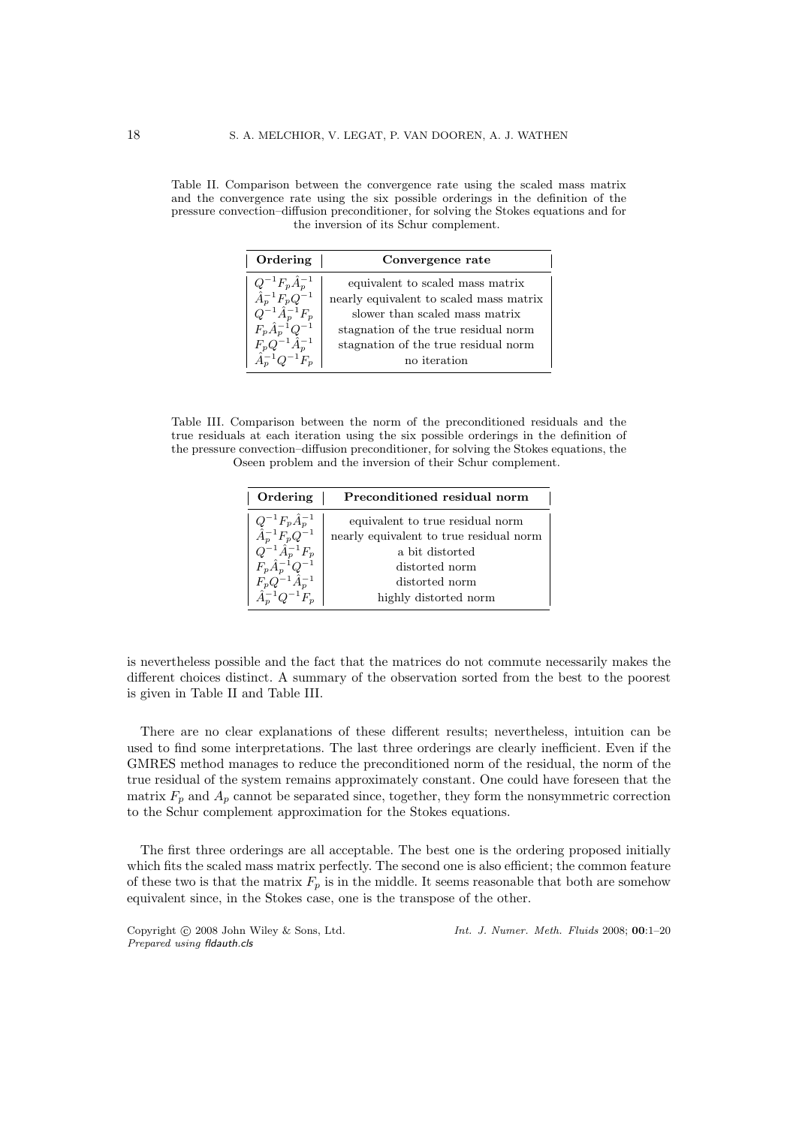Table II. Comparison between the convergence rate using the scaled mass matrix and the convergence rate using the six possible orderings in the definition of the pressure convection–diffusion preconditioner, for solving the Stokes equations and for the inversion of its Schur complement.

| Ordering                                                                                                                                          | Convergence rate                                                                                                                                                                              |  |
|---------------------------------------------------------------------------------------------------------------------------------------------------|-----------------------------------------------------------------------------------------------------------------------------------------------------------------------------------------------|--|
| $Q^{-1}F_p\hat{A}_p^{-1}$<br>$\hat{A}_p^{-1}F_pQ^{-1}$<br>$Q^{-1}\hat{A}_p^{-1}F_p$<br>$F_p \hat{A}_p^{-1} Q^{-1}$<br>$F_p Q^{-1} \hat{A}_p^{-1}$ | equivalent to scaled mass matrix<br>nearly equivalent to scaled mass matrix<br>slower than scaled mass matrix<br>stagnation of the true residual norm<br>stagnation of the true residual norm |  |
| $1^{-1}Q^{-1}F_p$                                                                                                                                 | no iteration                                                                                                                                                                                  |  |

Table III. Comparison between the norm of the preconditioned residuals and the true residuals at each iteration using the six possible orderings in the definition of the pressure convection–diffusion preconditioner, for solving the Stokes equations, the Oseen problem and the inversion of their Schur complement.

| Ordering                      | Preconditioned residual norm            |  |
|-------------------------------|-----------------------------------------|--|
| $Q^{-1}F_{p}\hat{A}_{p}^{-1}$ | equivalent to true residual norm        |  |
| $A_p^{-1}F_pQ^{-1}$           | nearly equivalent to true residual norm |  |
| $Q^{-1}\hat{A}_p^{-1}F_p$     | a bit distorted                         |  |
| $F_p \hat{A}_p^{-1} Q^{-1}$   | distorted norm                          |  |
| $F_p Q^{-1} \hat{A}_p^{-1}$   | distorted norm                          |  |
| $\hat{A}_n^{-1} Q^{-1} F_n$   | highly distorted norm                   |  |

is nevertheless possible and the fact that the matrices do not commute necessarily makes the different choices distinct. A summary of the observation sorted from the best to the poorest is given in Table II and Table III.

There are no clear explanations of these different results; nevertheless, intuition can be used to find some interpretations. The last three orderings are clearly inefficient. Even if the GMRES method manages to reduce the preconditioned norm of the residual, the norm of the true residual of the system remains approximately constant. One could have foreseen that the matrix  $F_p$  and  $A_p$  cannot be separated since, together, they form the nonsymmetric correction to the Schur complement approximation for the Stokes equations.

The first three orderings are all acceptable. The best one is the ordering proposed initially which fits the scaled mass matrix perfectly. The second one is also efficient; the common feature of these two is that the matrix  $F_p$  is in the middle. It seems reasonable that both are somehow equivalent since, in the Stokes case, one is the transpose of the other.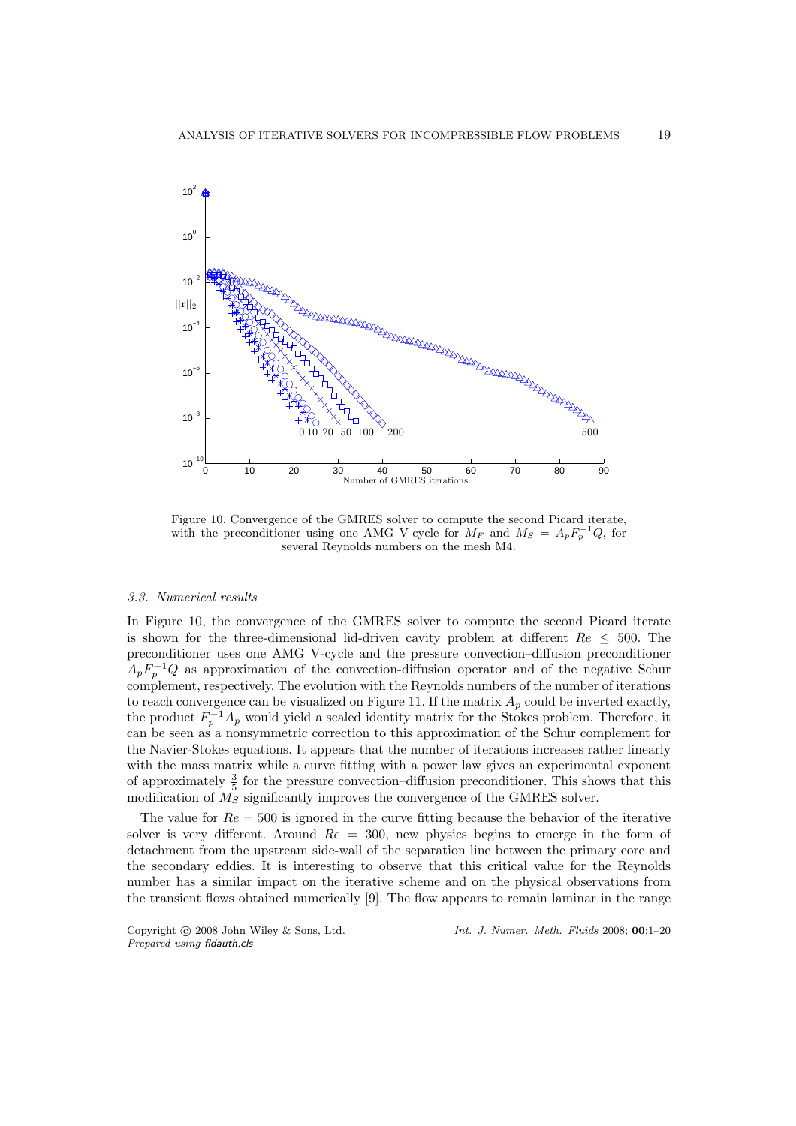

Figure 10. Convergence of the GMRES solver to compute the second Picard iterate, with the preconditioner using one AMG V-cycle for  $M_F$  and  $M_S = A_p F_p^{-1} Q$ , for several Reynolds numbers on the mesh M4.

## 3.3. Numerical results

In Figure 10, the convergence of the GMRES solver to compute the second Picard iterate is shown for the three-dimensional lid-driven cavity problem at different  $Re \leq 500$ . The preconditioner uses one AMG V-cycle and the pressure convection–diffusion preconditioner  $A_p F_p^{-1} Q$  as approximation of the convection-diffusion operator and of the negative Schur complement, respectively. The evolution with the Reynolds numbers of the number of iterations to reach convergence can be visualized on Figure 11. If the matrix  $A_p$  could be inverted exactly, the product  $F_p^{-1}A_p$  would yield a scaled identity matrix for the Stokes problem. Therefore, it can be seen as a nonsymmetric correction to this approximation of the Schur complement for the Navier-Stokes equations. It appears that the number of iterations increases rather linearly with the mass matrix while a curve fitting with a power law gives an experimental exponent of approximately  $\frac{3}{5}$  for the pressure convection–diffusion preconditioner. This shows that this modification of  $M<sub>S</sub>$  significantly improves the convergence of the GMRES solver.

The value for  $Re = 500$  is ignored in the curve fitting because the behavior of the iterative solver is very different. Around  $Re = 300$ , new physics begins to emerge in the form of detachment from the upstream side-wall of the separation line between the primary core and the secondary eddies. It is interesting to observe that this critical value for the Reynolds number has a similar impact on the iterative scheme and on the physical observations from the transient flows obtained numerically [9]. The flow appears to remain laminar in the range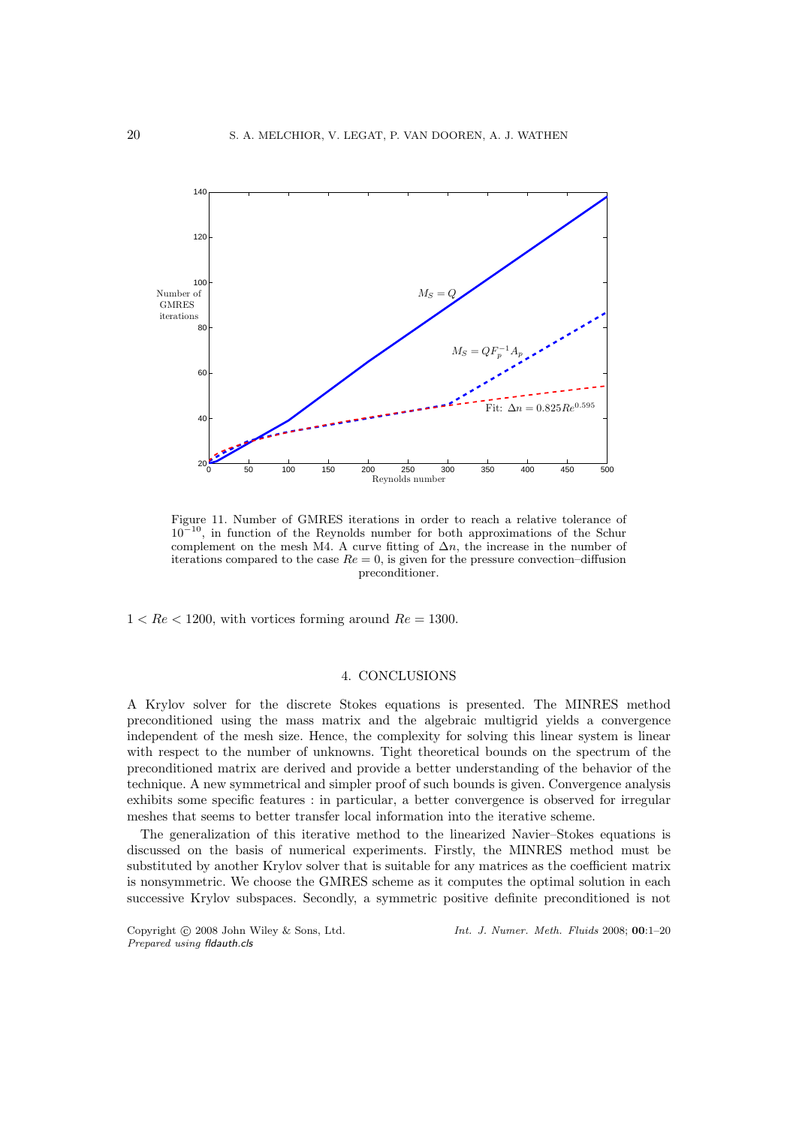

Figure 11. Number of GMRES iterations in order to reach a relative tolerance of  $10^{-10}$ , in function of the Reynolds number for both approximations of the Schur complement on the mesh M4. A curve fitting of  $\Delta n$ , the increase in the number of iterations compared to the case  $Re = 0$ , is given for the pressure convection–diffusion preconditioner.

 $1 < Re < 1200$ , with vortices forming around  $Re = 1300$ .

# 4. CONCLUSIONS

A Krylov solver for the discrete Stokes equations is presented. The MINRES method preconditioned using the mass matrix and the algebraic multigrid yields a convergence independent of the mesh size. Hence, the complexity for solving this linear system is linear with respect to the number of unknowns. Tight theoretical bounds on the spectrum of the preconditioned matrix are derived and provide a better understanding of the behavior of the technique. A new symmetrical and simpler proof of such bounds is given. Convergence analysis exhibits some specific features : in particular, a better convergence is observed for irregular meshes that seems to better transfer local information into the iterative scheme.

The generalization of this iterative method to the linearized Navier–Stokes equations is discussed on the basis of numerical experiments. Firstly, the MINRES method must be substituted by another Krylov solver that is suitable for any matrices as the coefficient matrix is nonsymmetric. We choose the GMRES scheme as it computes the optimal solution in each successive Krylov subspaces. Secondly, a symmetric positive definite preconditioned is not

*Prepared using* fldauth.cls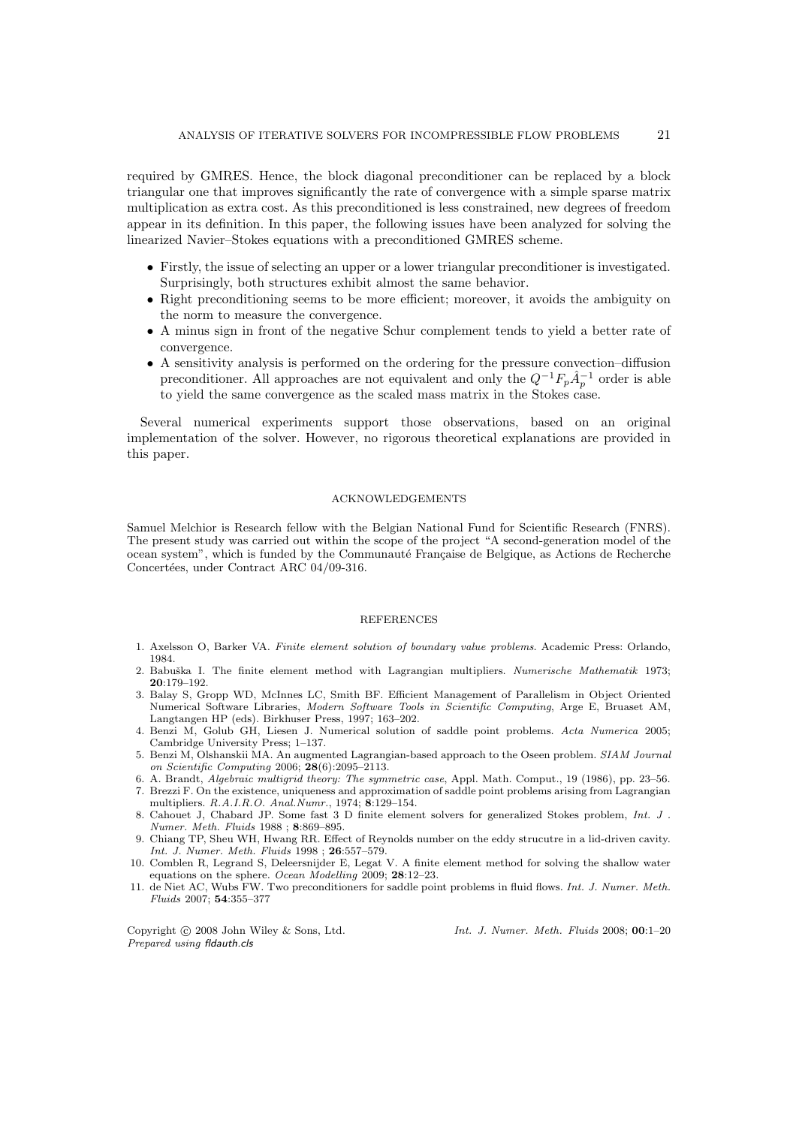required by GMRES. Hence, the block diagonal preconditioner can be replaced by a block triangular one that improves significantly the rate of convergence with a simple sparse matrix multiplication as extra cost. As this preconditioned is less constrained, new degrees of freedom appear in its definition. In this paper, the following issues have been analyzed for solving the linearized Navier–Stokes equations with a preconditioned GMRES scheme.

- Firstly, the issue of selecting an upper or a lower triangular preconditioner is investigated. Surprisingly, both structures exhibit almost the same behavior.
- Right preconditioning seems to be more efficient; moreover, it avoids the ambiguity on the norm to measure the convergence.
- A minus sign in front of the negative Schur complement tends to yield a better rate of convergence.
- A sensitivity analysis is performed on the ordering for the pressure convection–diffusion preconditioner. All approaches are not equivalent and only the  $Q^{-1}F_p\hat{A}_p^{-1}$  order is able to yield the same convergence as the scaled mass matrix in the Stokes case.

Several numerical experiments support those observations, based on an original implementation of the solver. However, no rigorous theoretical explanations are provided in this paper.

#### ACKNOWLEDGEMENTS

Samuel Melchior is Research fellow with the Belgian National Fund for Scientific Research (FNRS). The present study was carried out within the scope of the project "A second-generation model of the ocean system", which is funded by the Communauté Française de Belgique, as Actions de Recherche Concertées, under Contract $\text{ARC}$ 04/09-316.

#### REFERENCES

- 1. Axelsson O, Barker VA. *Finite element solution of boundary value problems*. Academic Press: Orlando, 1984.
- 2. Babuˇska I. The finite element method with Lagrangian multipliers. *Numerische Mathematik* 1973; 20:179–192.
- 3. Balay S, Gropp WD, McInnes LC, Smith BF. Efficient Management of Parallelism in Object Oriented Numerical Software Libraries, *Modern Software Tools in Scientific Computing*, Arge E, Bruaset AM, Langtangen HP (eds). Birkhuser Press, 1997; 163–202.
- 4. Benzi M, Golub GH, Liesen J. Numerical solution of saddle point problems. *Acta Numerica* 2005; Cambridge University Press; 1–137.
- 5. Benzi M, Olshanskii MA. An augmented Lagrangian-based approach to the Oseen problem. *SIAM Journal on Scientific Computing* 2006; 28(6):2095–2113.
- 6. A. Brandt, *Algebraic multigrid theory: The symmetric case*, Appl. Math. Comput., 19 (1986), pp. 23–56. 7. Brezzi F. On the existence, uniqueness and approximation of saddle point problems arising from Lagrangian multipliers. *R.A.I.R.O. Anal.Numr.*, 1974; 8:129–154.
- 8. Cahouet J, Chabard JP. Some fast 3 D finite element solvers for generalized Stokes problem, *Int. J . Numer. Meth. Fluids* 1988 ; 8:869–895.
- 9. Chiang TP, Sheu WH, Hwang RR. Effect of Reynolds number on the eddy strucutre in a lid-driven cavity. *Int. J. Numer. Meth. Fluids* 1998 ; 26:557–579.
- 10. Comblen R, Legrand S, Deleersnijder E, Legat V. A finite element method for solving the shallow water equations on the sphere. *Ocean Modelling* 2009; 28:12–23.
- 11. de Niet AC, Wubs FW. Two preconditioners for saddle point problems in fluid flows. *Int. J. Numer. Meth. Fluids* 2007; 54:355–377

*Prepared using* fldauth.cls